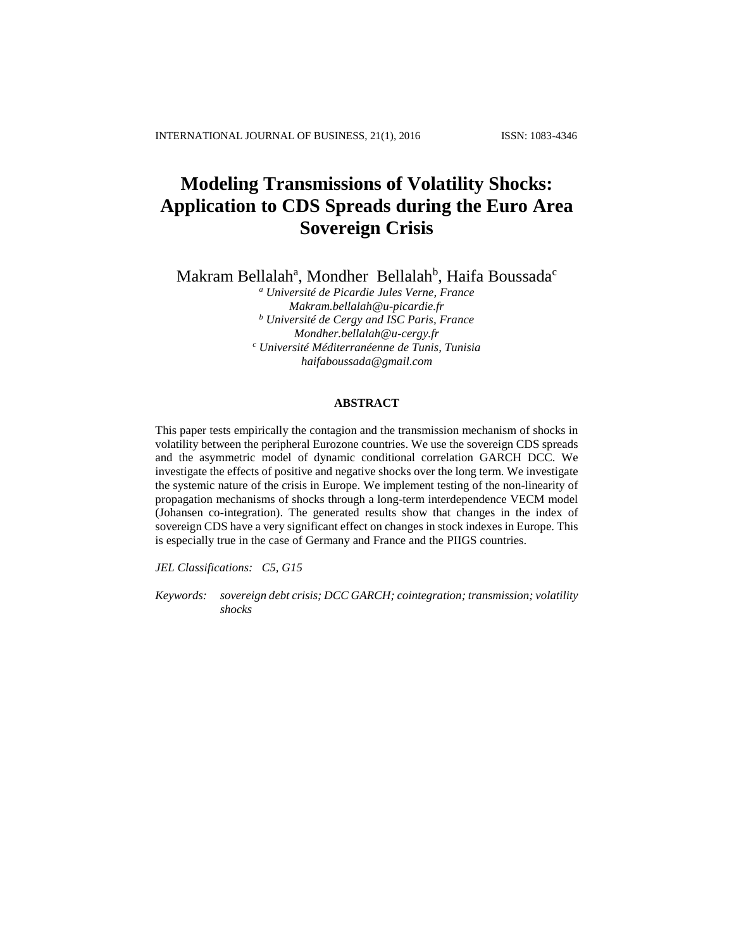# **Modeling Transmissions of Volatility Shocks: Application to CDS Spreads during the Euro Area Sovereign Crisis**

Makram Bellalah<sup>a</sup>, Mondher Bellalah<sup>b</sup>, Haifa Boussada<sup>c</sup>

*<sup>a</sup> Université de Picardie Jules Verne, France [Makram.bellalah@u-picardie.fr](mailto:Makram.bellalah@u-picardie.fr) <sup>b</sup> Université de Cergy and ISC Paris, France [Mondher.bellalah@u-cergy.fr](mailto:Mondher.bellalah@u-cergy.fr) <sup>c</sup> Université Méditerranéenne de Tunis, Tunisia [haifaboussada@gmail.com](mailto:haifaboussada@gmail.com)*

## **ABSTRACT**

This paper tests empirically the contagion and the transmission mechanism of shocks in volatility between the peripheral Eurozone countries. We use the sovereign CDS spreads and the asymmetric model of dynamic conditional correlation GARCH DCC. We investigate the effects of positive and negative shocks over the long term. We investigate the systemic nature of the crisis in Europe. We implement testing of the non-linearity of propagation mechanisms of shocks through a long-term interdependence VECM model (Johansen co-integration). The generated results show that changes in the index of sovereign CDS have a very significant effect on changes in stock indexes in Europe. This is especially true in the case of Germany and France and the PIIGS countries.

*JEL Classifications: C5, G15*

*Keywords: sovereign debt crisis; DCC GARCH; cointegration; transmission; volatility shocks*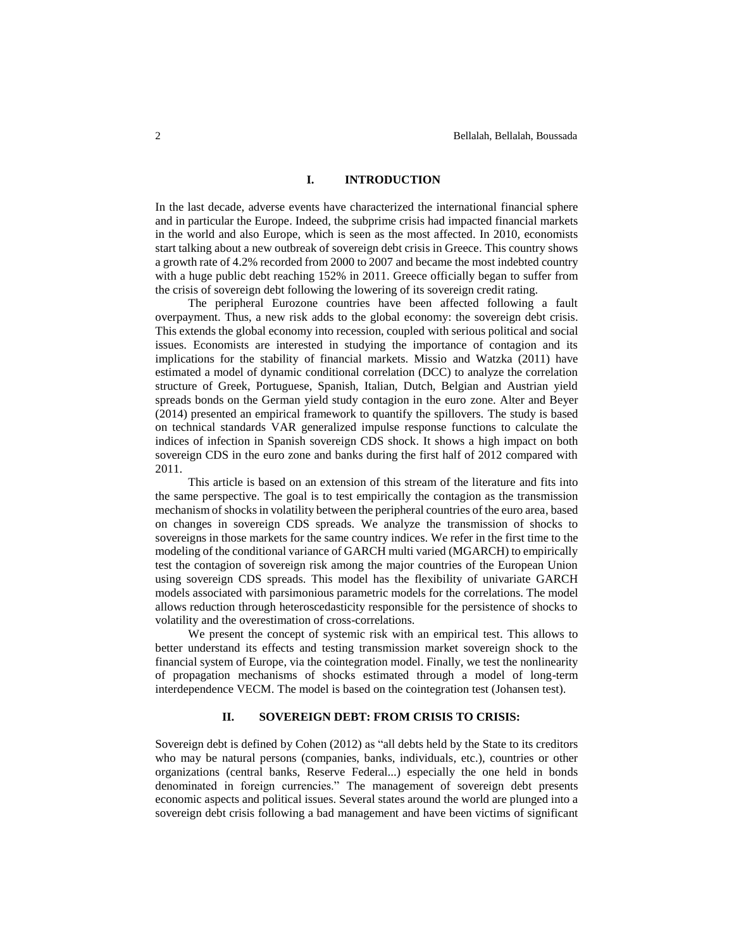## **I. INTRODUCTION**

In the last decade, adverse events have characterized the international financial sphere and in particular the Europe. Indeed, the subprime crisis had impacted financial markets in the world and also Europe, which is seen as the most affected. In 2010, economists start talking about a new outbreak of sovereign debt crisis in Greece. This country shows a growth rate of 4.2% recorded from 2000 to 2007 and became the most indebted country with a huge public debt reaching 152% in 2011. Greece officially began to suffer from the crisis of sovereign debt following the lowering of its sovereign credit rating.

The peripheral Eurozone countries have been affected following a fault overpayment. Thus, a new risk adds to the global economy: the sovereign debt crisis. This extends the global economy into recession, coupled with serious political and social issues. Economists are interested in studying the importance of contagion and its implications for the stability of financial markets. Missio and Watzka (2011) have estimated a model of dynamic conditional correlation (DCC) to analyze the correlation structure of Greek, Portuguese, Spanish, Italian, Dutch, Belgian and Austrian yield spreads bonds on the German yield study contagion in the euro zone. Alter and Beyer (2014) presented an empirical framework to quantify the spillovers. The study is based on technical standards VAR generalized impulse response functions to calculate the indices of infection in Spanish sovereign CDS shock. It shows a high impact on both sovereign CDS in the euro zone and banks during the first half of 2012 compared with 2011.

This article is based on an extension of this stream of the literature and fits into the same perspective. The goal is to test empirically the contagion as the transmission mechanism of shocks in volatility between the peripheral countries of the euro area, based on changes in sovereign CDS spreads. We analyze the transmission of shocks to sovereigns in those markets for the same country indices. We refer in the first time to the modeling of the conditional variance of GARCH multi varied (MGARCH) to empirically test the contagion of sovereign risk among the major countries of the European Union using sovereign CDS spreads. This model has the flexibility of univariate GARCH models associated with parsimonious parametric models for the correlations. The model allows reduction through heteroscedasticity responsible for the persistence of shocks to volatility and the overestimation of cross-correlations.

We present the concept of systemic risk with an empirical test. This allows to better understand its effects and testing transmission market sovereign shock to the financial system of Europe, via the cointegration model. Finally, we test the nonlinearity of propagation mechanisms of shocks estimated through a model of long-term interdependence VECM. The model is based on the cointegration test (Johansen test).

#### **II. SOVEREIGN DEBT: FROM CRISIS TO CRISIS:**

Sovereign debt is defined by Cohen (2012) as "all debts held by the State to its creditors who may be natural persons (companies, banks, individuals, etc.), countries or other organizations (central banks, Reserve Federal...) especially the one held in bonds denominated in foreign currencies." The management of sovereign debt presents economic aspects and political issues. Several states around the world are plunged into a sovereign debt crisis following a bad management and have been victims of significant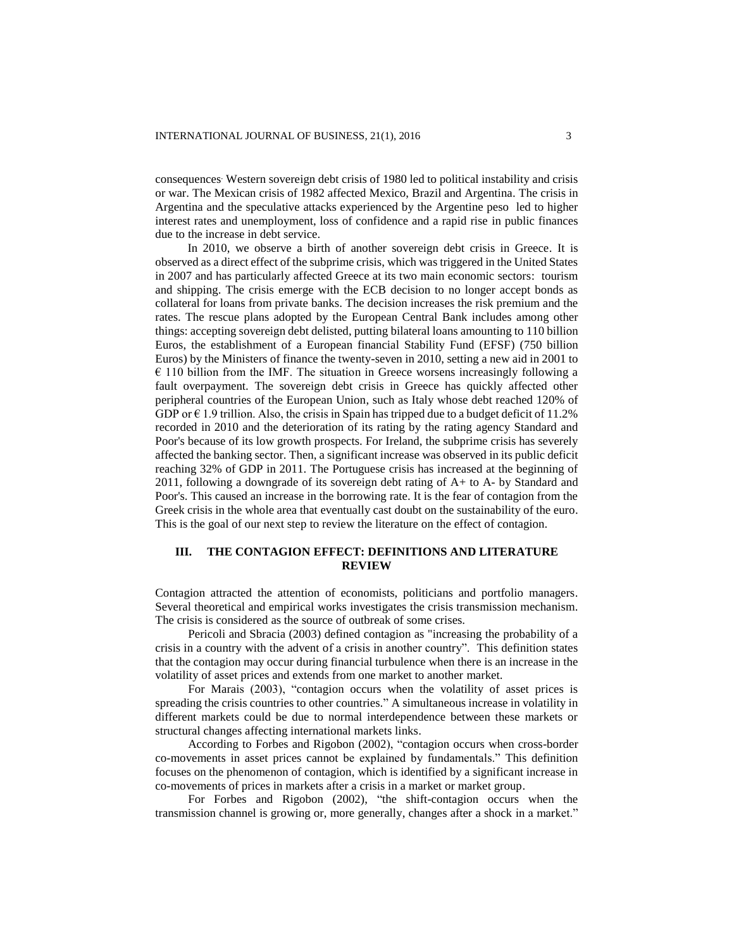consequences. Western sovereign debt crisis of 1980 led to political instability and crisis or war. The Mexican crisis of 1982 affected Mexico, Brazil and Argentina. The crisis in Argentina and the speculative attacks experienced by the Argentine peso led to higher interest rates and unemployment, loss of confidence and a rapid rise in public finances due to the increase in debt service.

In 2010, we observe a birth of another sovereign debt crisis in Greece. It is observed as a direct effect of the subprime crisis, which was triggered in the United States in 2007 and has particularly affected Greece at its two main economic sectors: tourism and shipping. The crisis emerge with the ECB decision to no longer accept bonds as collateral for loans from private banks. The decision increases the risk premium and the rates. The rescue plans adopted by the European Central Bank includes among other things: accepting sovereign debt delisted, putting bilateral loans amounting to 110 billion Euros, the establishment of a European financial Stability Fund (EFSF) (750 billion Euros) by the Ministers of finance the twenty-seven in 2010, setting a new aid in 2001 to  $\epsilon$  110 billion from the IMF. The situation in Greece worsens increasingly following a fault overpayment. The sovereign debt crisis in Greece has quickly affected other peripheral countries of the European Union, such as Italy whose debt reached 120% of GDP or  $\epsilon$  1.9 trillion. Also, the crisis in Spain has tripped due to a budget deficit of 11.2% recorded in 2010 and the deterioration of its rating by the rating agency Standard and Poor's because of its low growth prospects. For Ireland, the subprime crisis has severely affected the banking sector. Then, a significant increase was observed in its public deficit reaching 32% of GDP in 2011. The Portuguese crisis has increased at the beginning of 2011, following a downgrade of its sovereign debt rating of A+ to A- by Standard and Poor's. This caused an increase in the borrowing rate. It is the fear of contagion from the Greek crisis in the whole area that eventually cast doubt on the sustainability of the euro. This is the goal of our next step to review the literature on the effect of contagion.

## **III. THE CONTAGION EFFECT: DEFINITIONS AND LITERATURE REVIEW**

Contagion attracted the attention of economists, politicians and portfolio managers. Several theoretical and empirical works investigates the crisis transmission mechanism. The crisis is considered as the source of outbreak of some crises.

Pericoli and Sbracia (2003) defined contagion as "increasing the probability of a crisis in a country with the advent of a crisis in another country". This definition states that the contagion may occur during financial turbulence when there is an increase in the volatility of asset prices and extends from one market to another market.

For Marais (2003), "contagion occurs when the volatility of asset prices is spreading the crisis countries to other countries." A simultaneous increase in volatility in different markets could be due to normal interdependence between these markets or structural changes affecting international markets links.

According to Forbes and Rigobon (2002), "contagion occurs when cross-border co-movements in asset prices cannot be explained by fundamentals." This definition focuses on the phenomenon of contagion, which is identified by a significant increase in co-movements of prices in markets after a crisis in a market or market group.

For Forbes and Rigobon (2002), "the shift-contagion occurs when the transmission channel is growing or, more generally, changes after a shock in a market."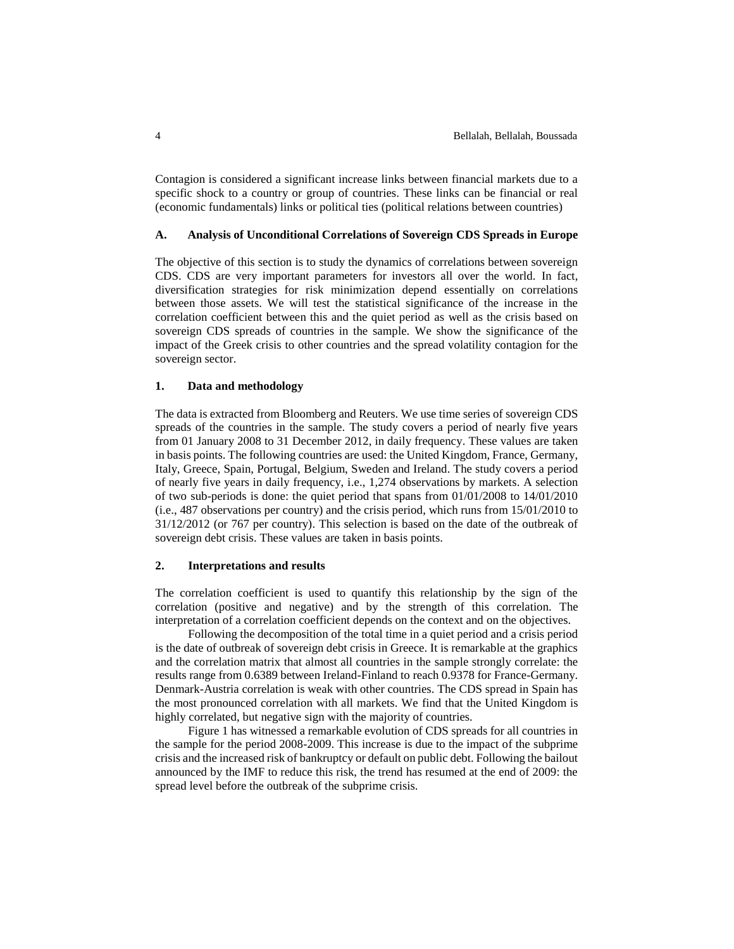Contagion is considered a significant increase links between financial markets due to a specific shock to a country or group of countries. These links can be financial or real (economic fundamentals) links or political ties (political relations between countries)

### **A. Analysis of Unconditional Correlations of Sovereign CDS Spreads in Europe**

The objective of this section is to study the dynamics of correlations between sovereign CDS. CDS are very important parameters for investors all over the world. In fact, diversification strategies for risk minimization depend essentially on correlations between those assets. We will test the statistical significance of the increase in the correlation coefficient between this and the quiet period as well as the crisis based on sovereign CDS spreads of countries in the sample. We show the significance of the impact of the Greek crisis to other countries and the spread volatility contagion for the sovereign sector.

#### **1. Data and methodology**

The data is extracted from Bloomberg and Reuters. We use time series of sovereign CDS spreads of the countries in the sample. The study covers a period of nearly five years from 01 January 2008 to 31 December 2012, in daily frequency. These values are taken in basis points. The following countries are used: the United Kingdom, France, Germany, Italy, Greece, Spain, Portugal, Belgium, Sweden and Ireland. The study covers a period of nearly five years in daily frequency, i.e., 1,274 observations by markets. A selection of two sub-periods is done: the quiet period that spans from 01/01/2008 to 14/01/2010 (i.e., 487 observations per country) and the crisis period, which runs from 15/01/2010 to 31/12/2012 (or 767 per country). This selection is based on the date of the outbreak of sovereign debt crisis. These values are taken in basis points.

#### **2. Interpretations and results**

The correlation coefficient is used to quantify this relationship by the sign of the correlation (positive and negative) and by the strength of this correlation. The interpretation of a correlation coefficient depends on the context and on the objectives.

Following the decomposition of the total time in a quiet period and a crisis period is the date of outbreak of sovereign debt crisis in Greece. It is remarkable at the graphics and the correlation matrix that almost all countries in the sample strongly correlate: the results range from 0.6389 between Ireland-Finland to reach 0.9378 for France-Germany. Denmark-Austria correlation is weak with other countries. The CDS spread in Spain has the most pronounced correlation with all markets. We find that the United Kingdom is highly correlated, but negative sign with the majority of countries.

Figure 1 has witnessed a remarkable evolution of CDS spreads for all countries in the sample for the period 2008-2009. This increase is due to the impact of the subprime crisis and the increased risk of bankruptcy or default on public debt. Following the bailout announced by the IMF to reduce this risk, the trend has resumed at the end of 2009: the spread level before the outbreak of the subprime crisis.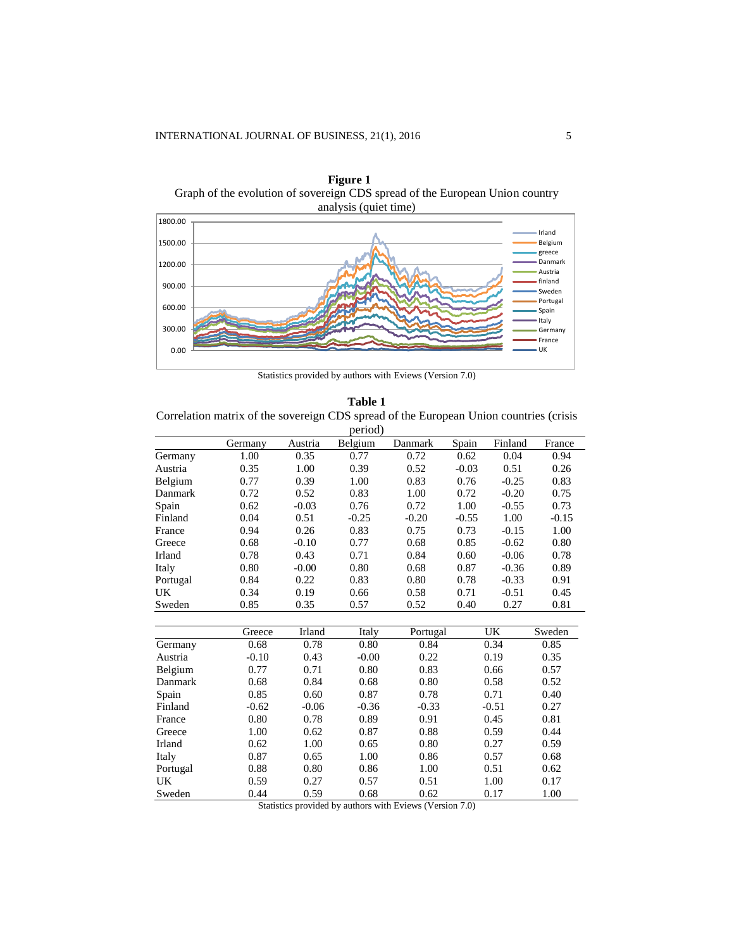

**Figure 1** Graph of the evolution of sovereign CDS spread of the European Union country

Statistics provided by authors with Eviews (Version 7.0)

| Table 1                                                                                |
|----------------------------------------------------------------------------------------|
| Correlation matrix of the sovereign CDS spread of the European Union countries (crisis |
| period)                                                                                |

|           | Germany | Austria | Belgium | Danmark  | Spain   | Finland | France  |
|-----------|---------|---------|---------|----------|---------|---------|---------|
| Germany   | 1.00    | 0.35    | 0.77    | 0.72     | 0.62    | 0.04    | 0.94    |
| Austria   | 0.35    | 1.00    | 0.39    | 0.52     | $-0.03$ | 0.51    | 0.26    |
| Belgium   | 0.77    | 0.39    | 1.00    | 0.83     | 0.76    | $-0.25$ | 0.83    |
| Danmark   | 0.72    | 0.52    | 0.83    | 1.00     | 0.72    | $-0.20$ | 0.75    |
| Spain     | 0.62    | $-0.03$ | 0.76    | 0.72     | 1.00    | $-0.55$ | 0.73    |
| Finland   | 0.04    | 0.51    | $-0.25$ | $-0.20$  | $-0.55$ | 1.00    | $-0.15$ |
| France    | 0.94    | 0.26    | 0.83    | 0.75     | 0.73    | $-0.15$ | 1.00    |
| Greece    | 0.68    | $-0.10$ | 0.77    | 0.68     | 0.85    | $-0.62$ | 0.80    |
| Irland    | 0.78    | 0.43    | 0.71    | 0.84     | 0.60    | $-0.06$ | 0.78    |
| Italy     | 0.80    | $-0.00$ | 0.80    | 0.68     | 0.87    | $-0.36$ | 0.89    |
| Portugal  | 0.84    | 0.22    | 0.83    | 0.80     | 0.78    | $-0.33$ | 0.91    |
| <b>UK</b> | 0.34    | 0.19    | 0.66    | 0.58     | 0.71    | $-0.51$ | 0.45    |
| Sweden    | 0.85    | 0.35    | 0.57    | 0.52     | 0.40    | 0.27    | 0.81    |
|           |         |         |         |          |         |         |         |
|           | Greece  | Irland  | Italy   | Portugal |         | UK      | Sweden  |
| Germany   | 0.68    | 0.78    | 0.80    | 0.84     |         | 0.34    | 0.85    |
| Austria   | $-0.10$ | 0.43    | $-0.00$ | 0.22     |         | 0.19    | 0.35    |
| Belgium   | 0.77    | 0.71    | 0.80    | 0.83     |         | 0.66    | 0.57    |
| Danmark   | 0.68    | 0.84    | 0.68    | 0.80     |         | 0.58    | 0.52    |
| Spain     | 0.85    | 0.60    | 0.87    | 0.78     |         | 0.71    | 0.40    |
| Finland   | $-0.62$ | $-0.06$ | $-0.36$ | $-0.33$  |         | $-0.51$ | 0.27    |
| France    | 0.80    | 0.78    | 0.89    | 0.91     |         | 0.45    | 0.81    |
| Greece    | 1.00    | 0.62    | 0.87    | 0.88     |         | 0.59    | 0.44    |
| Irland    | 0.62    | 1.00    | 0.65    | 0.80     |         | 0.27    | 0.59    |
| Italy     | 0.87    | 0.65    | 1.00    | 0.86     |         | 0.57    | 0.68    |
| Portugal  | 0.88    | 0.80    | 0.86    | 1.00     |         | 0.51    | 0.62    |
| UK        | 0.59    | 0.27    | 0.57    | 0.51     |         | 1.00    | 0.17    |
| Sweden    | 0.44    | 0.59    | 0.68    | 0.62     |         | 0.17    | 1.00    |

Statistics provided by authors with Eviews (Version 7.0)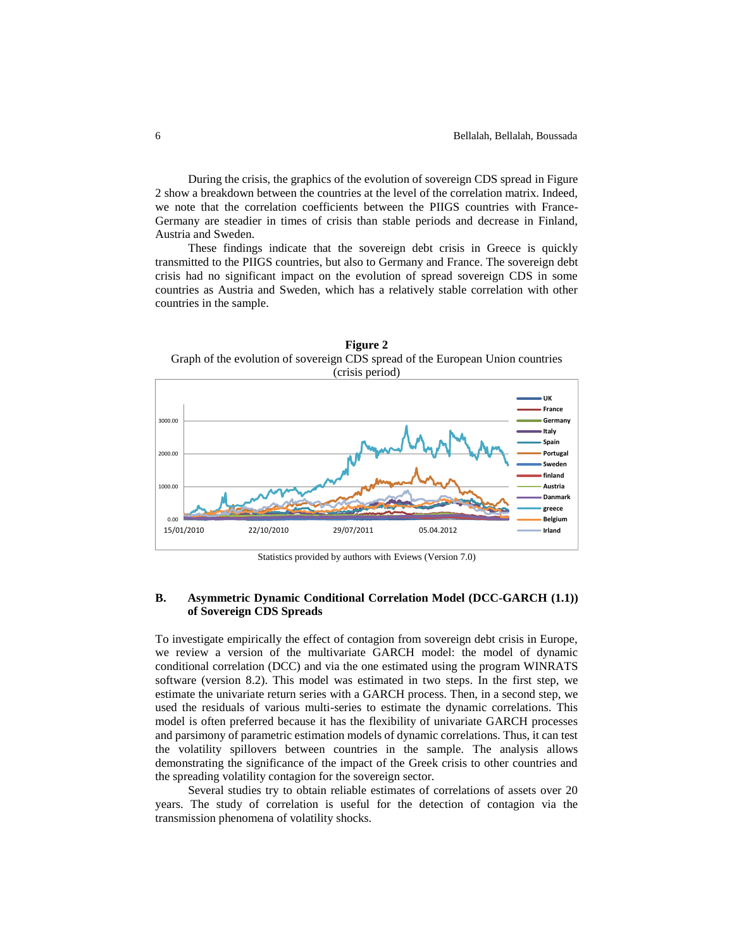During the crisis, the graphics of the evolution of sovereign CDS spread in Figure 2 show a breakdown between the countries at the level of the correlation matrix. Indeed, we note that the correlation coefficients between the PIIGS countries with France-Germany are steadier in times of crisis than stable periods and decrease in Finland, Austria and Sweden.

These findings indicate that the sovereign debt crisis in Greece is quickly transmitted to the PIIGS countries, but also to Germany and France. The sovereign debt crisis had no significant impact on the evolution of spread sovereign CDS in some countries as Austria and Sweden, which has a relatively stable correlation with other countries in the sample.



Statistics provided by authors with Eviews (Version 7.0)

## **B. Asymmetric Dynamic Conditional Correlation Model (DCC-GARCH (1.1)) of Sovereign CDS Spreads**

To investigate empirically the effect of contagion from sovereign debt crisis in Europe, we review a version of the multivariate GARCH model: the model of dynamic conditional correlation (DCC) and via the one estimated using the program WINRATS software (version 8.2). This model was estimated in two steps. In the first step, we estimate the univariate return series with a GARCH process. Then, in a second step, we used the residuals of various multi-series to estimate the dynamic correlations. This model is often preferred because it has the flexibility of univariate GARCH processes and parsimony of parametric estimation models of dynamic correlations. Thus, it can test the volatility spillovers between countries in the sample. The analysis allows demonstrating the significance of the impact of the Greek crisis to other countries and the spreading volatility contagion for the sovereign sector.

Several studies try to obtain reliable estimates of correlations of assets over 20 years. The study of correlation is useful for the detection of contagion via the transmission phenomena of volatility shocks.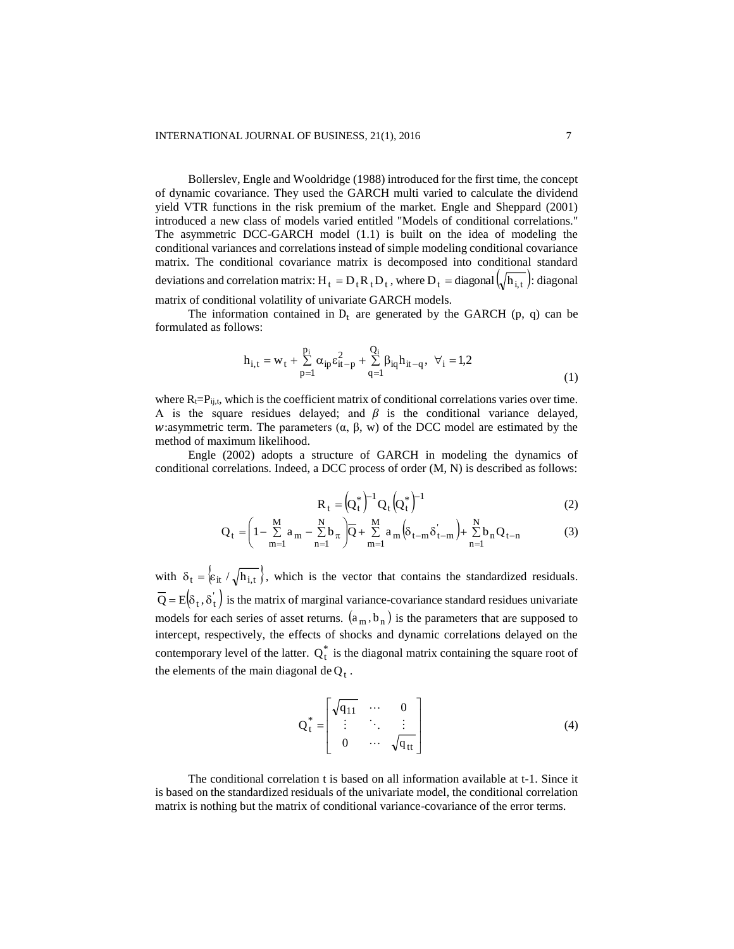Bollerslev, Engle and Wooldridge (1988) introduced for the first time, the concept of dynamic covariance. They used the GARCH multi varied to calculate the dividend yield VTR functions in the risk premium of the market. Engle and Sheppard (2001) introduced a new class of models varied entitled "Models of conditional correlations." The asymmetric DCC-GARCH model (1.1) is built on the idea of modeling the conditional variances and correlations instead of simple modeling conditional covariance matrix. The conditional covariance matrix is decomposed into conditional standard deviations and correlation matrix:  $H_t = D_t R_t D_t$ , where  $D_t = \text{diagonal} \left( \sqrt{h_{i,t}} \right)$ : diagonal matrix of conditional volatility of univariate GARCH models.

The information contained in  $D_t$  are generated by the GARCH (p, q) can be formulated as follows:

$$
h_{i,t} = w_t + \sum_{p=1}^{p_i} \alpha_{ip} \varepsilon_{it-p}^2 + \sum_{q=1}^{Q_i} \beta_{iq} h_{it-q}, \ \forall_i = 1,2
$$
 (1)

where  $R_t = P_{ij,t}$ , which is the coefficient matrix of conditional correlations varies over time. A is the square residues delayed; and  $\beta$  is the conditional variance delayed, w:asymmetric term. The parameters  $(\alpha, \beta, w)$  of the DCC model are estimated by the method of maximum likelihood.

Engle (2002) adopts a structure of GARCH in modeling the dynamics of conditional correlations. Indeed, a DCC process of order (M, N) is described as follows:

$$
R_t = (Q_t^*)^{-1} Q_t (Q_t^*)^{-1}
$$
 (2)

$$
Q_{t} = \left(1 - \sum_{m=1}^{M} a_{m} - \sum_{n=1}^{N} b_{\pi}\right) \overline{Q} + \sum_{m=1}^{M} a_{m} \left(\delta_{t-m} \delta_{t-m}^{'}\right) + \sum_{n=1}^{N} b_{n} Q_{t-n}
$$
(3)

with  $\delta_t = \{ \varepsilon_{it} / \sqrt{h_{i,t}} \}$ , which is the vector that contains the standardized residuals.  $\overline{Q} = E(\delta_t, \delta_t)$  is the matrix of marginal variance-covariance standard residues univariate models for each series of asset returns.  $(a_m, b_n)$  is the parameters that are supposed to intercept, respectively, the effects of shocks and dynamic correlations delayed on the contemporary level of the latter.  $Q_t^*$  is the diagonal matrix containing the square root of the elements of the main diagonal de $Q_t$ .

$$
Q_t^* = \begin{bmatrix} \sqrt{q_{11}} & \cdots & 0 \\ \vdots & \ddots & \vdots \\ 0 & \cdots & \sqrt{q_{tt}} \end{bmatrix}
$$
 (4)

The conditional correlation t is based on all information available at t-1. Since it is based on the standardized residuals of the univariate model, the conditional correlation matrix is nothing but the matrix of conditional variance-covariance of the error terms.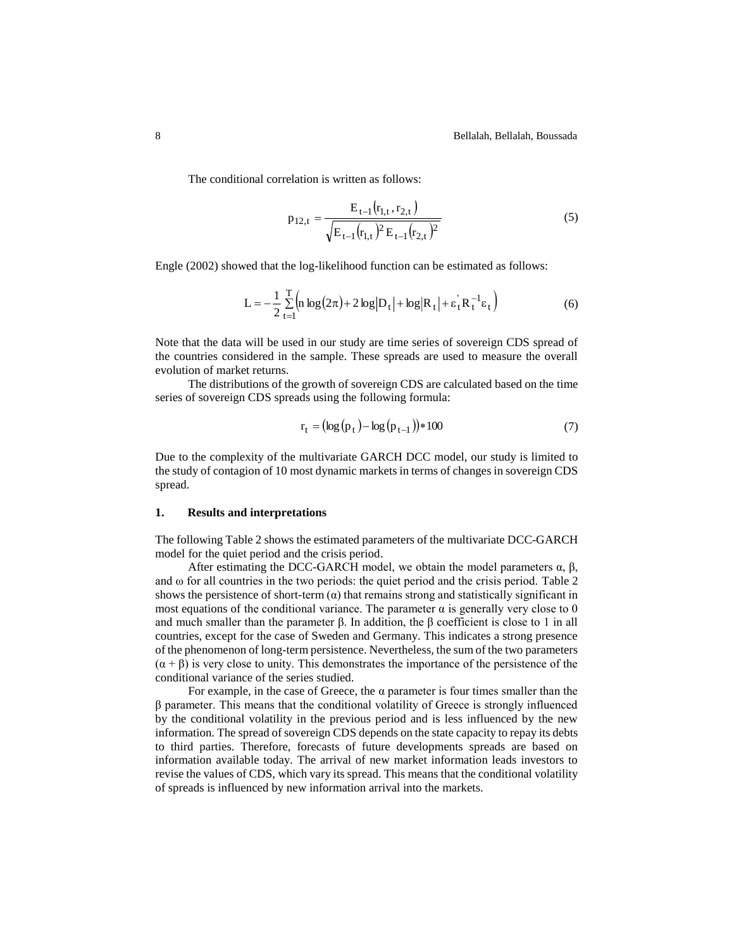The conditional correlation is written as follows:

$$
p_{12,t} = \frac{E_{t-1}(r_{1,t}, r_{2,t})}{\sqrt{E_{t-1}(r_{1,t})^2 E_{t-1}(r_{2,t})^2}}
$$
(5)

Engle (2002) showed that the log-likelihood function can be estimated as follows:

$$
L = -\frac{1}{2} \sum_{t=1}^{T} \left( n \log(2\pi) + 2 \log |D_t| + \log |R_t| + \varepsilon_t^{\prime} R_t^{-1} \varepsilon_t \right) \tag{6}
$$

Note that the data will be used in our study are time series of sovereign CDS spread of the countries considered in the sample. These spreads are used to measure the overall evolution of market returns.

The distributions of the growth of sovereign CDS are calculated based on the time series of sovereign CDS spreads using the following formula:

$$
r_{t} = (\log(p_{t}) - \log(p_{t-1})) * 100
$$
\n(7)

Due to the complexity of the multivariate GARCH DCC model, our study is limited to the study of contagion of 10 most dynamic markets in terms of changes in sovereign CDS spread.

#### **1. Results and interpretations**

The following Table 2 shows the estimated parameters of the multivariate DCC-GARCH model for the quiet period and the crisis period.

After estimating the DCC-GARCH model, we obtain the model parameters  $\alpha$ ,  $\beta$ , and  $\omega$  for all countries in the two periods: the quiet period and the crisis period. Table 2 shows the persistence of short-term  $\alpha$ ) that remains strong and statistically significant in most equations of the conditional variance. The parameter  $\alpha$  is generally very close to 0 and much smaller than the parameter  $\beta$ . In addition, the  $\beta$  coefficient is close to 1 in all countries, except for the case of Sweden and Germany. This indicates a strong presence of the phenomenon of long-term persistence. Nevertheless, the sum of the two parameters  $(\alpha + \beta)$  is very close to unity. This demonstrates the importance of the persistence of the conditional variance of the series studied.

For example, in the case of Greece, the  $\alpha$  parameter is four times smaller than the β parameter. This means that the conditional volatility of Greece is strongly influenced by the conditional volatility in the previous period and is less influenced by the new information. The spread of sovereign CDS depends on the state capacity to repay its debts to third parties. Therefore, forecasts of future developments spreads are based on information available today. The arrival of new market information leads investors to revise the values of CDS, which vary its spread. This means that the conditional volatility of spreads is influenced by new information arrival into the markets.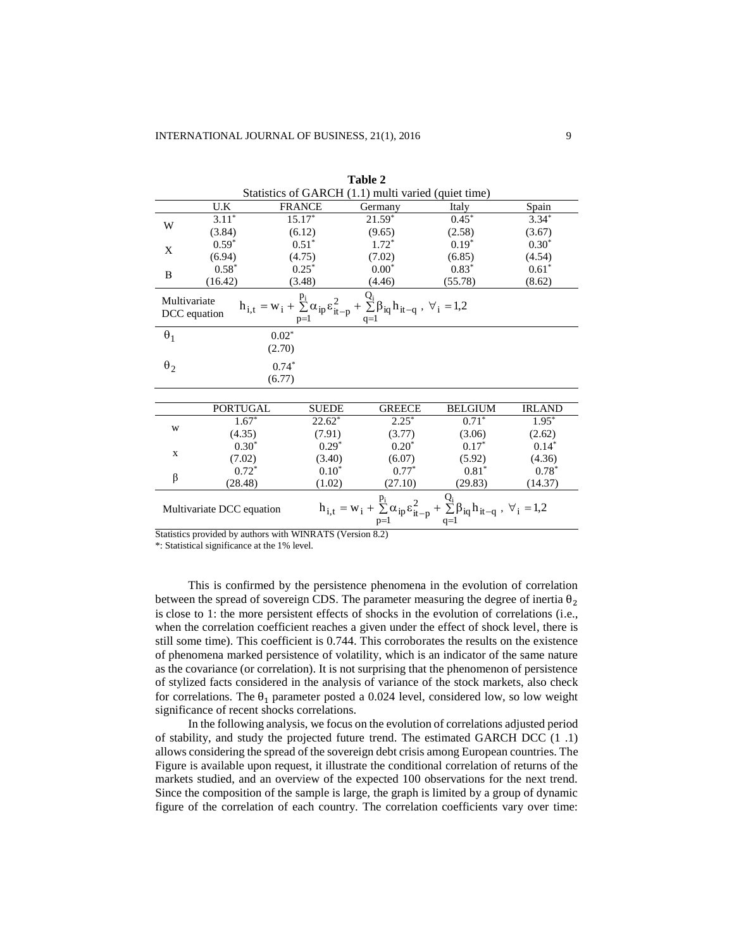|              | Statistics of GARCH (1.1) multi varied (quiet time) |                                                               |                                                                                                                                                                     |                                                           |               |  |  |  |
|--------------|-----------------------------------------------------|---------------------------------------------------------------|---------------------------------------------------------------------------------------------------------------------------------------------------------------------|-----------------------------------------------------------|---------------|--|--|--|
|              | U.K                                                 | <b>FRANCE</b>                                                 | Germany                                                                                                                                                             | Italy                                                     | Spain         |  |  |  |
| W            | $3.11^*$                                            | $15.17*$                                                      | $21.59*$                                                                                                                                                            | $0.45*$                                                   | $3.34*$       |  |  |  |
|              | (3.84)                                              | (6.12)                                                        | (9.65)                                                                                                                                                              | (2.58)                                                    | (3.67)        |  |  |  |
| X            | $0.59*$                                             | $0.51*$                                                       | $1.72*$                                                                                                                                                             | $0.19*$                                                   | $0.30*$       |  |  |  |
|              | (6.94)                                              | (4.75)                                                        | (7.02)                                                                                                                                                              | (6.85)                                                    | (4.54)        |  |  |  |
| B            | $0.58*$                                             | $0.25*$                                                       | $0.00*$                                                                                                                                                             | $0.83*$                                                   | $0.61*$       |  |  |  |
|              | (16.42)                                             | (3.48)                                                        | (4.46)                                                                                                                                                              | (55.78)                                                   | (8.62)        |  |  |  |
| Multivariate | DCC equation                                        |                                                               | $h_{i,t} = w_i + \underset{p=1}{\overset{p_i}{\sum}} \alpha_{ip} \epsilon_{it-p}^2 + \underset{q=1}{\overset{Q_i}{\sum}} \beta_{iq} h_{it-q} \ , \ \forall_i = 1,2$ |                                                           |               |  |  |  |
| $\theta_1$   |                                                     | $0.02*$                                                       |                                                                                                                                                                     |                                                           |               |  |  |  |
|              |                                                     | (2.70)                                                        |                                                                                                                                                                     |                                                           |               |  |  |  |
| $\theta_2$   |                                                     | $0.74*$                                                       |                                                                                                                                                                     |                                                           |               |  |  |  |
|              |                                                     | (6.77)                                                        |                                                                                                                                                                     |                                                           |               |  |  |  |
|              |                                                     |                                                               |                                                                                                                                                                     |                                                           |               |  |  |  |
|              | <b>PORTUGAL</b>                                     | <b>SUEDE</b>                                                  | <b>GREECE</b>                                                                                                                                                       | <b>BELGIUM</b>                                            | <b>IRLAND</b> |  |  |  |
| W            | $1.67*$                                             | $22.62*$                                                      | $2.25*$                                                                                                                                                             | $0.71*$                                                   | $1.95*$       |  |  |  |
|              | (4.35)                                              | (7.91)                                                        | (3.77)                                                                                                                                                              | (3.06)                                                    | (2.62)        |  |  |  |
| $\mathbf X$  | $0.30*$                                             | $0.29*$                                                       | $0.20*$                                                                                                                                                             | $0.17*$                                                   | $0.14*$       |  |  |  |
|              | (7.02)                                              | (3.40)                                                        | (6.07)                                                                                                                                                              | (5.92)                                                    | (4.36)        |  |  |  |
| β            | $0.72*$                                             | $0.10*$                                                       | $0.77*$                                                                                                                                                             | $0.81*$                                                   | $0.78*$       |  |  |  |
|              | (28.48)                                             | (1.02)                                                        | (27.10)                                                                                                                                                             | (29.83)                                                   | (14.37)       |  |  |  |
|              | Multivariate DCC equation                           |                                                               | $h_{i,t} = w_i + \sum_{i}^{p_i} \alpha_{ip} \varepsilon_{it-p}^2$<br>$p=1$                                                                                          | + $\sum \beta_{iq} h_{it-q}$ , $\forall_i = 1,2$<br>$q=1$ |               |  |  |  |
|              |                                                     | Statistics provided by outbors with WIND ATS (Version $9.2$ ) |                                                                                                                                                                     |                                                           |               |  |  |  |

**Table 2**

Statistics provided by authors with WINRATS (Version 8.2)

\*: Statistical significance at the 1% level.

This is confirmed by the persistence phenomena in the evolution of correlation between the spread of sovereign CDS. The parameter measuring the degree of inertia  $\theta_2$ is close to 1: the more persistent effects of shocks in the evolution of correlations (i.e., when the correlation coefficient reaches a given under the effect of shock level, there is still some time). This coefficient is 0.744. This corroborates the results on the existence of phenomena marked persistence of volatility, which is an indicator of the same nature as the covariance (or correlation). It is not surprising that the phenomenon of persistence of stylized facts considered in the analysis of variance of the stock markets, also check for correlations. The  $\theta_1$  parameter posted a 0.024 level, considered low, so low weight significance of recent shocks correlations.

In the following analysis, we focus on the evolution of correlations adjusted period of stability, and study the projected future trend. The estimated GARCH DCC (1 .1) allows considering the spread of the sovereign debt crisis among European countries. The Figure is available upon request, it illustrate the conditional correlation of returns of the markets studied, and an overview of the expected 100 observations for the next trend. Since the composition of the sample is large, the graph is limited by a group of dynamic figure of the correlation of each country. The correlation coefficients vary over time: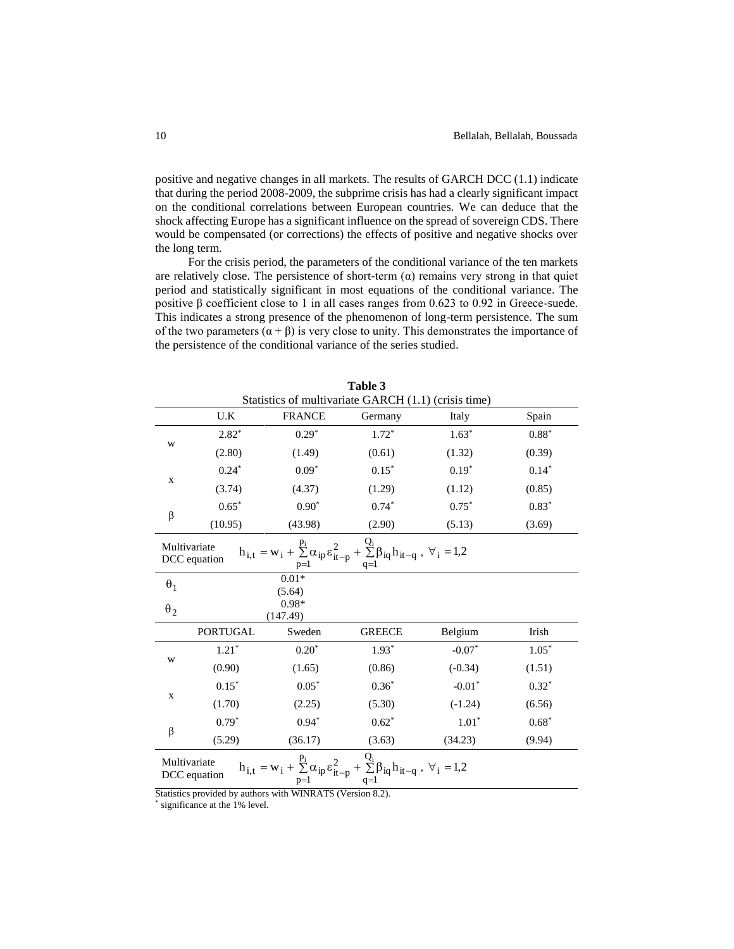positive and negative changes in all markets. The results of GARCH DCC (1.1) indicate that during the period 2008-2009, the subprime crisis has had a clearly significant impact on the conditional correlations between European countries. We can deduce that the shock affecting Europe has a significant influence on the spread of sovereign CDS. There would be compensated (or corrections) the effects of positive and negative shocks over the long term.

For the crisis period, the parameters of the conditional variance of the ten markets are relatively close. The persistence of short-term  $(\alpha)$  remains very strong in that quiet period and statistically significant in most equations of the conditional variance. The positive β coefficient close to 1 in all cases ranges from 0.623 to 0.92 in Greece-suede. This indicates a strong presence of the phenomenon of long-term persistence. The sum of the two parameters  $(\alpha + \beta)$  is very close to unity. This demonstrates the importance of the persistence of the conditional variance of the series studied.

**Table 3**

| Table 3              |                                                                                                                                                                                                     |                     |                                                                                                                                                                                  |           |         |  |  |  |  |  |  |
|----------------------|-----------------------------------------------------------------------------------------------------------------------------------------------------------------------------------------------------|---------------------|----------------------------------------------------------------------------------------------------------------------------------------------------------------------------------|-----------|---------|--|--|--|--|--|--|
|                      | Statistics of multivariate GARCH (1.1) (crisis time)                                                                                                                                                |                     |                                                                                                                                                                                  |           |         |  |  |  |  |  |  |
|                      | U.K                                                                                                                                                                                                 | <b>FRANCE</b>       | Germany                                                                                                                                                                          | Italy     | Spain   |  |  |  |  |  |  |
|                      | $2.82*$                                                                                                                                                                                             | $0.29*$             | $1.72*$                                                                                                                                                                          | $1.63*$   | $0.88*$ |  |  |  |  |  |  |
| W                    | (2.80)                                                                                                                                                                                              | (1.49)              | (0.61)                                                                                                                                                                           | (1.32)    | (0.39)  |  |  |  |  |  |  |
| $\mathbf{X}$         | $0.24*$                                                                                                                                                                                             | $0.09*$             | $0.15*$                                                                                                                                                                          | $0.19*$   | $0.14*$ |  |  |  |  |  |  |
|                      | (3.74)                                                                                                                                                                                              | (4.37)              | (1.29)                                                                                                                                                                           | (1.12)    | (0.85)  |  |  |  |  |  |  |
| $\boldsymbol{\beta}$ | $0.65*$                                                                                                                                                                                             | $0.90*$             | $0.74*$                                                                                                                                                                          | $0.75*$   | $0.83*$ |  |  |  |  |  |  |
|                      | (10.95)                                                                                                                                                                                             | (43.98)             | (2.90)                                                                                                                                                                           | (5.13)    | (3.69)  |  |  |  |  |  |  |
| Multivariate         | DCC equation                                                                                                                                                                                        |                     | $h_{i,t} = w_i + \sum\limits_{p = 1}^{{p_i}} {\alpha _{ip}^{}{\varepsilon _{it - p}^2}} + \sum\limits_{q = 1}^{{Q_i}} {{\beta _{iq}}^{}{h_{it - q}}^{} \;,\;{\forall _i} = 1,2}$ |           |         |  |  |  |  |  |  |
| $\theta_1$           |                                                                                                                                                                                                     | $0.01*$<br>(5.64)   |                                                                                                                                                                                  |           |         |  |  |  |  |  |  |
| $\theta_2$           |                                                                                                                                                                                                     | $0.98*$<br>(147.49) |                                                                                                                                                                                  |           |         |  |  |  |  |  |  |
|                      | <b>PORTUGAL</b>                                                                                                                                                                                     | Sweden              | <b>GREECE</b>                                                                                                                                                                    | Belgium   | Irish   |  |  |  |  |  |  |
|                      | $1.21*$                                                                                                                                                                                             | $0.20*$             | $1.93*$                                                                                                                                                                          | $-0.07*$  | $1.05*$ |  |  |  |  |  |  |
| W                    | (0.90)                                                                                                                                                                                              | (1.65)              | (0.86)                                                                                                                                                                           | $(-0.34)$ | (1.51)  |  |  |  |  |  |  |
|                      | $0.15*$                                                                                                                                                                                             | $0.05*$             | $0.36*$                                                                                                                                                                          | $-0.01*$  | $0.32*$ |  |  |  |  |  |  |
| $\mathbf X$          | (1.70)                                                                                                                                                                                              | (2.25)              | (5.30)                                                                                                                                                                           | $(-1.24)$ | (6.56)  |  |  |  |  |  |  |
|                      | $0.79*$                                                                                                                                                                                             | $0.94*$             | $0.62*$                                                                                                                                                                          | $1.01*$   | $0.68*$ |  |  |  |  |  |  |
| β                    | (5.29)                                                                                                                                                                                              | (36.17)             | (3.63)                                                                                                                                                                           | (34.23)   | (9.94)  |  |  |  |  |  |  |
|                      | $h_{i,t} = w_i + \underset{p=1}{\overset{p_i}{\sum}} \alpha_{ip} \epsilon_{it-p}^2 + \underset{q=1}{\overset{Q_i}{\sum}} \beta_{iq} h_{it-q} \ , \ \forall_i = 1,2$<br>Multivariate<br>DCC equation |                     |                                                                                                                                                                                  |           |         |  |  |  |  |  |  |

Statistics provided by authors with WINRATS (Version 8.2).

\* significance at the 1% level.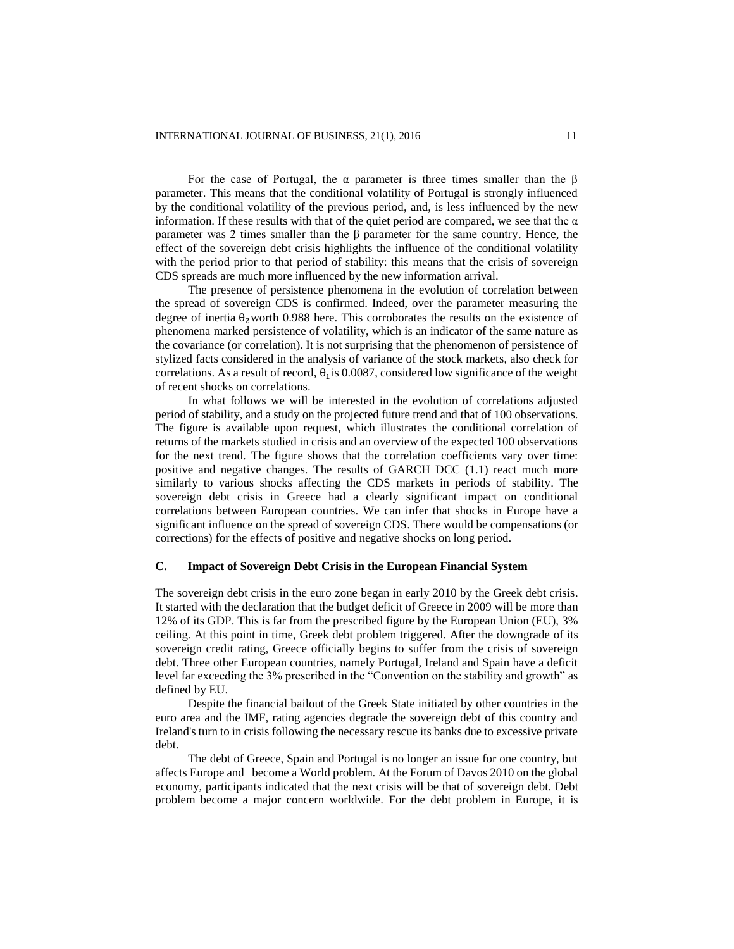For the case of Portugal, the  $\alpha$  parameter is three times smaller than the  $\beta$ parameter. This means that the conditional volatility of Portugal is strongly influenced by the conditional volatility of the previous period, and, is less influenced by the new information. If these results with that of the quiet period are compared, we see that the  $\alpha$ parameter was 2 times smaller than the β parameter for the same country. Hence, the effect of the sovereign debt crisis highlights the influence of the conditional volatility with the period prior to that period of stability: this means that the crisis of sovereign CDS spreads are much more influenced by the new information arrival.

The presence of persistence phenomena in the evolution of correlation between the spread of sovereign CDS is confirmed. Indeed, over the parameter measuring the degree of inertia  $\theta_2$ worth 0.988 here. This corroborates the results on the existence of phenomena marked persistence of volatility, which is an indicator of the same nature as the covariance (or correlation). It is not surprising that the phenomenon of persistence of stylized facts considered in the analysis of variance of the stock markets, also check for correlations. As a result of record,  $\theta_1$  is 0.0087, considered low significance of the weight of recent shocks on correlations.

In what follows we will be interested in the evolution of correlations adjusted period of stability, and a study on the projected future trend and that of 100 observations. The figure is available upon request, which illustrates the conditional correlation of returns of the markets studied in crisis and an overview of the expected 100 observations for the next trend. The figure shows that the correlation coefficients vary over time: positive and negative changes. The results of GARCH DCC (1.1) react much more similarly to various shocks affecting the CDS markets in periods of stability. The sovereign debt crisis in Greece had a clearly significant impact on conditional correlations between European countries. We can infer that shocks in Europe have a significant influence on the spread of sovereign CDS. There would be compensations (or corrections) for the effects of positive and negative shocks on long period.

#### **C. Impact of Sovereign Debt Crisis in the European Financial System**

The sovereign debt crisis in the euro zone began in early 2010 by the Greek debt crisis. It started with the declaration that the budget deficit of Greece in 2009 will be more than 12% of its GDP. This is far from the prescribed figure by the European Union (EU), 3% ceiling. At this point in time, Greek debt problem triggered. After the downgrade of its sovereign credit rating, Greece officially begins to suffer from the crisis of sovereign debt. Three other European countries, namely Portugal, Ireland and Spain have a deficit level far exceeding the 3% prescribed in the "Convention on the stability and growth" as defined by EU.

Despite the financial bailout of the Greek State initiated by other countries in the euro area and the IMF, rating agencies degrade the sovereign debt of this country and Ireland's turn to in crisis following the necessary rescue its banks due to excessive private debt.

The debt of Greece, Spain and Portugal is no longer an issue for one country, but affects Europe and become a World problem. At the Forum of Davos 2010 on the global economy, participants indicated that the next crisis will be that of sovereign debt. Debt problem become a major concern worldwide. For the debt problem in Europe, it is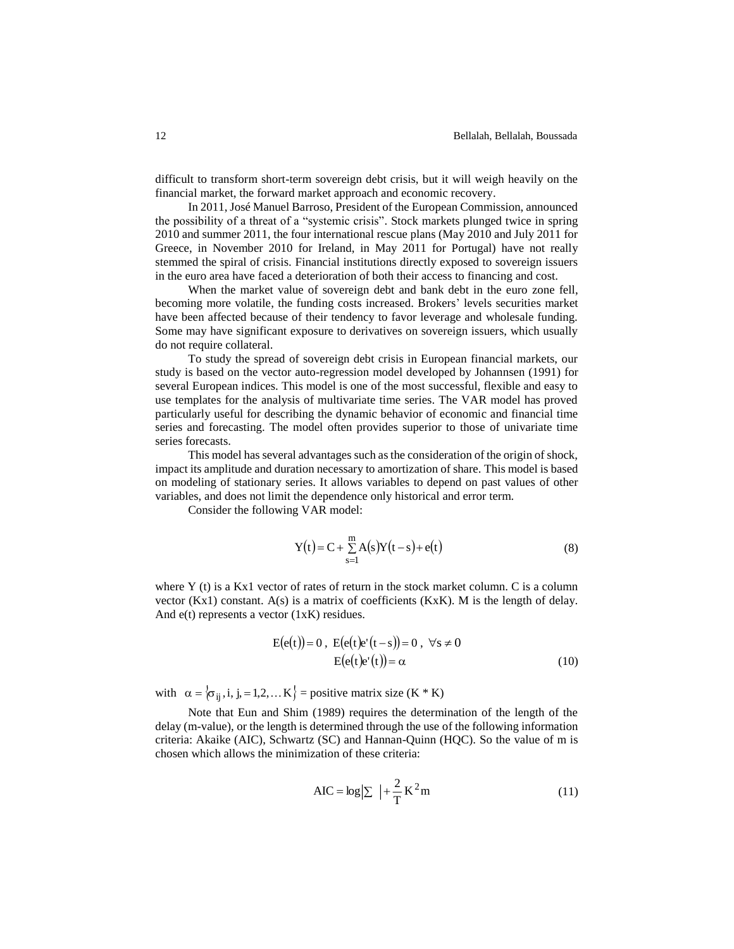difficult to transform short-term sovereign debt crisis, but it will weigh heavily on the financial market, the forward market approach and economic recovery.

In 2011, José Manuel Barroso, President of the European Commission, announced the possibility of a threat of a "systemic crisis". Stock markets plunged twice in spring 2010 and summer 2011, the four international rescue plans (May 2010 and July 2011 for Greece, in November 2010 for Ireland, in May 2011 for Portugal) have not really stemmed the spiral of crisis. Financial institutions directly exposed to sovereign issuers in the euro area have faced a deterioration of both their access to financing and cost.

When the market value of sovereign debt and bank debt in the euro zone fell, becoming more volatile, the funding costs increased. Brokers' levels securities market have been affected because of their tendency to favor leverage and wholesale funding. Some may have significant exposure to derivatives on sovereign issuers, which usually do not require collateral.

To study the spread of sovereign debt crisis in European financial markets, our study is based on the vector auto-regression model developed by Johannsen (1991) for several European indices. This model is one of the most successful, flexible and easy to use templates for the analysis of multivariate time series. The VAR model has proved particularly useful for describing the dynamic behavior of economic and financial time series and forecasting. The model often provides superior to those of univariate time series forecasts.

This model has several advantages such as the consideration of the origin of shock, impact its amplitude and duration necessary to amortization of share. This model is based on modeling of stationary series. It allows variables to depend on past values of other variables, and does not limit the dependence only historical and error term.

Consider the following VAR model:

$$
Y(t) = C + \sum_{s=1}^{m} A(s)Y(t-s) + e(t)
$$
 (8)

where Y (t) is a Kx1 vector of rates of return in the stock market column. C is a column vector  $(Kx1)$  constant.  $A(s)$  is a matrix of coefficients  $(KxK)$ . M is the length of delay. And  $e(t)$  represents a vector (1xK) residues.

$$
E(e(t)) = 0, E(e(t)e'(t-s)) = 0, \forall s \neq 0
$$
  
\n
$$
E(e(t)e'(t)) = \alpha
$$
 (10)

with  $\alpha = \{\sigma_{ij}, i, j, j = 1, 2, \dots K\}$  = positive matrix size  $(K * K)$ 

Note that Eun and Shim (1989) requires the determination of the length of the delay (m-value), or the length is determined through the use of the following information criteria: Akaike (AIC), Schwartz (SC) and Hannan-Quinn (HQC). So the value of m is chosen which allows the minimization of these criteria:

$$
AIC = \log|\Sigma| + \frac{2}{T}K^2 m
$$
 (11)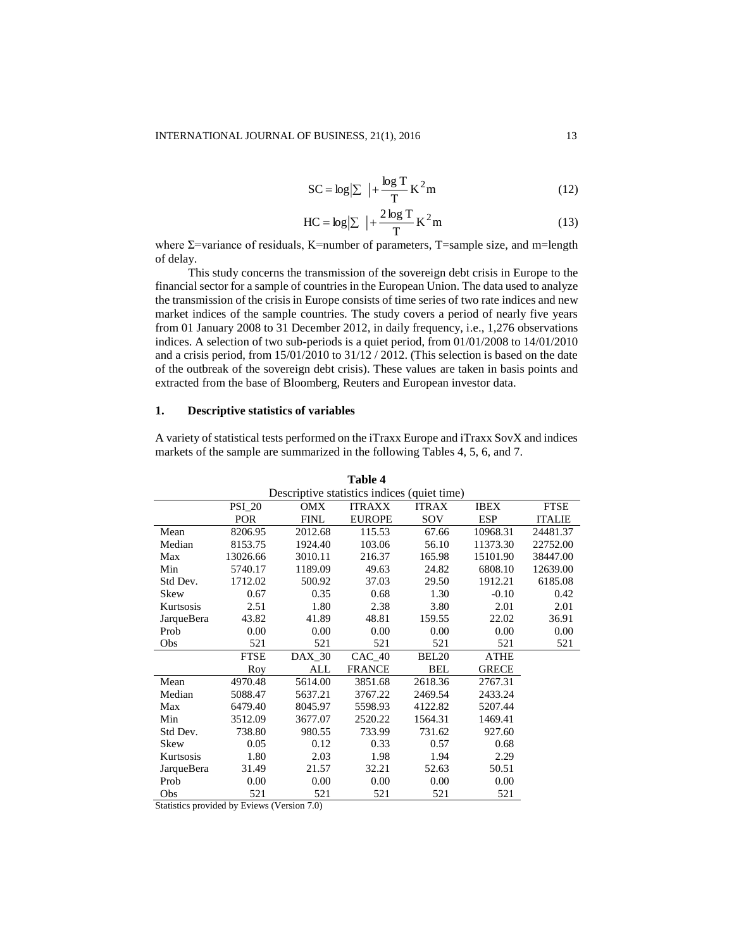$$
SC = \log|\Sigma| + \frac{\log T}{T}K^2m
$$
 (12)

$$
HC = \log|\Sigma| + \frac{2\log T}{T}K^2m
$$
 (13)

where  $\Sigma$ =variance of residuals, K=number of parameters, T=sample size, and m=length of delay.

This study concerns the transmission of the sovereign debt crisis in Europe to the financial sector for a sample of countries in the European Union. The data used to analyze the transmission of the crisis in Europe consists of time series of two rate indices and new market indices of the sample countries. The study covers a period of nearly five years from 01 January 2008 to 31 December 2012, in daily frequency, i.e., 1,276 observations indices. A selection of two sub-periods is a quiet period, from 01/01/2008 to 14/01/2010 and a crisis period, from 15/01/2010 to 31/12 / 2012. (This selection is based on the date of the outbreak of the sovereign debt crisis). These values are taken in basis points and extracted from the base of Bloomberg, Reuters and European investor data.

#### **1. Descriptive statistics of variables**

A variety of statistical tests performed on the iTraxx Europe and iTraxx SovX and indices markets of the sample are summarized in the following Tables 4, 5, 6, and 7.

| Table 4                                     |               |               |               |                   |              |               |  |  |  |  |
|---------------------------------------------|---------------|---------------|---------------|-------------------|--------------|---------------|--|--|--|--|
| Descriptive statistics indices (quiet time) |               |               |               |                   |              |               |  |  |  |  |
|                                             | <b>PSI_20</b> | OMX           | <b>ITRAXX</b> | <b>ITRAX</b>      | <b>IBEX</b>  | <b>FTSE</b>   |  |  |  |  |
|                                             | <b>POR</b>    | <b>FINL</b>   | <b>EUROPE</b> | SOV               | <b>ESP</b>   | <b>ITALIE</b> |  |  |  |  |
| Mean                                        | 8206.95       | 2012.68       | 115.53        | 67.66             | 10968.31     | 24481.37      |  |  |  |  |
| Median                                      | 8153.75       | 1924.40       | 103.06        | 56.10             | 11373.30     | 22752.00      |  |  |  |  |
| Max                                         | 13026.66      | 3010.11       | 216.37        | 165.98            | 15101.90     | 38447.00      |  |  |  |  |
| Min                                         | 5740.17       | 1189.09       | 49.63         | 24.82             | 6808.10      | 12639.00      |  |  |  |  |
| Std Dev.                                    | 1712.02       | 500.92        | 37.03         | 29.50             | 1912.21      | 6185.08       |  |  |  |  |
| Skew                                        | 0.67          | 0.35          | 0.68          | 1.30              | $-0.10$      | 0.42          |  |  |  |  |
| Kurtsosis                                   | 2.51          | 1.80          | 2.38          | 3.80              | 2.01         | 2.01          |  |  |  |  |
| JarqueBera                                  | 43.82         | 41.89         | 48.81         | 159.55            | 22.02        | 36.91         |  |  |  |  |
| Prob                                        | 0.00          | 0.00          | 0.00          | 0.00              | 0.00         | 0.00          |  |  |  |  |
| Obs                                         | 521           | 521           | 521           | 521               | 521          | 521           |  |  |  |  |
|                                             | <b>FTSE</b>   | <b>DAX 30</b> | $CAC$ 40      | BEL <sub>20</sub> | <b>ATHE</b>  |               |  |  |  |  |
|                                             | Roy           | ALL           | <b>FRANCE</b> | <b>BEL</b>        | <b>GRECE</b> |               |  |  |  |  |
| Mean                                        | 4970.48       | 5614.00       | 3851.68       | 2618.36           | 2767.31      |               |  |  |  |  |
| Median                                      | 5088.47       | 5637.21       | 3767.22       | 2469.54           | 2433.24      |               |  |  |  |  |
| Max                                         | 6479.40       | 8045.97       | 5598.93       | 4122.82           | 5207.44      |               |  |  |  |  |
| Min                                         | 3512.09       | 3677.07       | 2520.22       | 1564.31           | 1469.41      |               |  |  |  |  |
| Std Dev.                                    | 738.80        | 980.55        | 733.99        | 731.62            | 927.60       |               |  |  |  |  |
| Skew                                        | 0.05          | 0.12          | 0.33          | 0.57              | 0.68         |               |  |  |  |  |
| Kurtsosis                                   | 1.80          | 2.03          | 1.98          | 1.94              | 2.29         |               |  |  |  |  |
| JarqueBera                                  | 31.49         | 21.57         | 32.21         | 52.63             | 50.51        |               |  |  |  |  |
| Prob                                        | 0.00          | 0.00          | 0.00          | 0.00              | 0.00         |               |  |  |  |  |
| Obs                                         | 521           | 521           | 521           | 521               | 521          |               |  |  |  |  |

Statistics provided by Eviews (Version 7.0)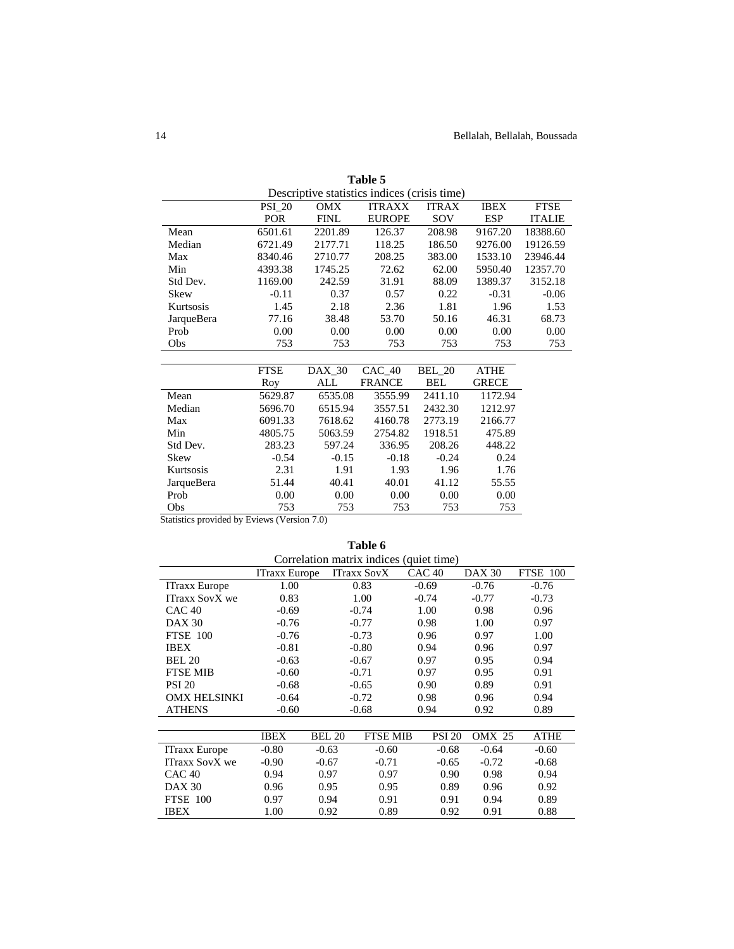| Descriptive statistics indices (crisis time) |                                                                                            |         |               |               |             |               |  |
|----------------------------------------------|--------------------------------------------------------------------------------------------|---------|---------------|---------------|-------------|---------------|--|
|                                              | <b>PSI 20</b><br><b>OMX</b><br><b>ITRAXX</b><br><b>ITRAX</b><br><b>FTSE</b><br><b>IBEX</b> |         |               |               |             |               |  |
|                                              | <b>POR</b>                                                                                 | FINL    | <b>EUROPE</b> | SOV           | <b>ESP</b>  | <b>ITALIE</b> |  |
| Mean                                         | 6501.61                                                                                    | 2201.89 | 126.37        | 208.98        | 9167.20     | 18388.60      |  |
| Median                                       | 6721.49                                                                                    | 2177.71 | 118.25        | 186.50        | 9276.00     | 19126.59      |  |
| Max                                          | 8340.46                                                                                    | 2710.77 | 208.25        | 383.00        | 1533.10     | 23946.44      |  |
| Min                                          | 4393.38                                                                                    | 1745.25 | 72.62         | 62.00         | 5950.40     | 12357.70      |  |
| Std Dev.                                     | 1169.00                                                                                    | 242.59  | 31.91         | 88.09         | 1389.37     | 3152.18       |  |
| Skew                                         | $-0.11$                                                                                    | 0.37    | 0.57          | 0.22          | $-0.31$     | $-0.06$       |  |
| Kurtsosis                                    | 1.45                                                                                       | 2.18    | 2.36          | 1.81          | 1.96        | 1.53          |  |
| JarqueBera                                   | 77.16                                                                                      | 38.48   | 53.70         | 50.16         | 46.31       | 68.73         |  |
| Prob                                         | 0.00                                                                                       | 0.00    | 0.00          | 0.00          | 0.00        | 0.00          |  |
| Obs                                          | 753                                                                                        | 753     | 753           | 753           | 753         | 753           |  |
|                                              |                                                                                            |         |               |               |             |               |  |
|                                              | <b>FTSE</b>                                                                                | DAX 30  | CAC 40        | <b>BEL 20</b> | <b>ATHE</b> |               |  |

**Table 5**

|            | <b>FTSE</b> | DAX 30  | $CAC$ 40      | <b>BEL 20</b> | <b>ATHE</b>  |
|------------|-------------|---------|---------------|---------------|--------------|
|            | Roy         | ALL     | <b>FRANCE</b> | BEL           | <b>GRECE</b> |
| Mean       | 5629.87     | 6535.08 | 3555.99       | 2411.10       | 1172.94      |
| Median     | 5696.70     | 6515.94 | 3557.51       | 2432.30       | 1212.97      |
| Max        | 6091.33     | 7618.62 | 4160.78       | 2773.19       | 2166.77      |
| Min        | 4805.75     | 5063.59 | 2754.82       | 1918.51       | 475.89       |
| Std Dev.   | 283.23      | 597.24  | 336.95        | 208.26        | 448.22       |
| Skew       | $-0.54$     | $-0.15$ | $-0.18$       | $-0.24$       | 0.24         |
| Kurtsosis  | 2.31        | 1.91    | 1.93          | 1.96          | 1.76         |
| JarqueBera | 51.44       | 40.41   | 40.01         | 41.12         | 55.55        |
| Prob       | 0.00        | 0.00    | 0.00          | 0.00          | 0.00         |
| Obs        | 753         | 753     | 753           | 753           | 753          |

Statistics provided by Eviews (Version 7.0)

| Correlation matrix indices (quiet time) |                      |               |                    |                   |               |                 |  |  |
|-----------------------------------------|----------------------|---------------|--------------------|-------------------|---------------|-----------------|--|--|
|                                         | <b>ITraxx Europe</b> |               | <b>ITraxx SovX</b> | CAC <sub>40</sub> | <b>DAX 30</b> | <b>FTSE 100</b> |  |  |
| <b>ITraxx Europe</b>                    | 1.00                 |               | 0.83               | $-0.69$           | $-0.76$       | $-0.76$         |  |  |
| <b>ITraxx SovX we</b>                   | 0.83                 |               | 1.00               | $-0.74$           | $-0.77$       | $-0.73$         |  |  |
| CAC <sub>40</sub>                       | $-0.69$              |               | $-0.74$            | 1.00              | 0.98          | 0.96            |  |  |
| <b>DAX 30</b>                           | $-0.76$              |               | $-0.77$            | 0.98              | 1.00          | 0.97            |  |  |
| <b>FTSE 100</b>                         | $-0.76$              |               | $-0.73$            | 0.96              | 0.97          | 1.00            |  |  |
| <b>IBEX</b>                             | $-0.81$              |               | $-0.80$            | 0.94              | 0.96          | 0.97            |  |  |
| <b>BEL 20</b>                           | $-0.63$              |               | $-0.67$            | 0.97              | 0.95          | 0.94            |  |  |
| <b>FTSE MIB</b>                         | $-0.60$              |               | $-0.71$            | 0.97              | 0.95          | 0.91            |  |  |
| <b>PSI 20</b>                           | $-0.68$              |               | $-0.65$            | 0.90              | 0.89          | 0.91            |  |  |
| <b>OMX HELSINKI</b>                     | $-0.64$              |               | $-0.72$            | 0.98              | 0.96          | 0.94            |  |  |
| <b>ATHENS</b>                           | $-0.60$              |               | $-0.68$            | 0.94              | 0.92          | 0.89            |  |  |
|                                         |                      |               |                    |                   |               |                 |  |  |
|                                         | <b>IBEX</b>          | <b>BEL 20</b> | <b>FTSE MIB</b>    | <b>PSI 20</b>     | <b>OMX 25</b> | <b>ATHE</b>     |  |  |
| <b>ITraxx Europe</b>                    | $-0.80$              | $-0.63$       | $-0.60$            | $-0.68$           | $-0.64$       | $-0.60$         |  |  |
| <b>ITraxx SovX</b> we                   | $-0.90$              | $-0.67$       | $-0.71$            | $-0.65$           | $-0.72$       | $-0.68$         |  |  |
| CAC <sub>40</sub>                       | 0.94                 | 0.97          | 0.97               | 0.90              | 0.98          | 0.94            |  |  |
| <b>DAX 30</b>                           | 0.96                 | 0.95          | 0.95               | 0.89              | 0.96          | 0.92            |  |  |
| <b>FTSE 100</b>                         | 0.97                 | 0.94          | 0.91               | 0.91              | 0.94          | 0.89            |  |  |
| <b>IBEX</b>                             | 1.00                 | 0.92          | 0.89               | 0.92              | 0.91          | 0.88            |  |  |
|                                         |                      |               |                    |                   |               |                 |  |  |

**Table 6**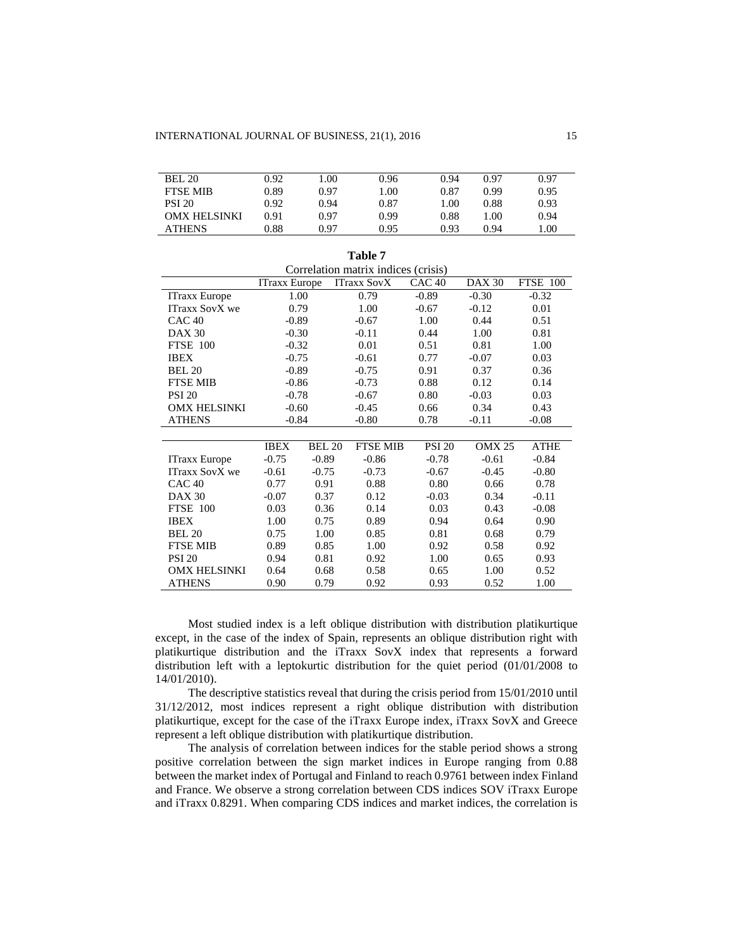| <b>BEL 20</b>       | 0.92 | .00  | 0.96 | 0.94 | 0.97 | 0.97 |
|---------------------|------|------|------|------|------|------|
| <b>FTSE MIB</b>     | 0.89 | 0.97 | 1.00 | 0.87 | 0.99 | 0.95 |
| <b>PSI 20</b>       | 0.92 | 0.94 | 0.87 | 1.00 | 0.88 | 0.93 |
| <b>OMX HELSINKI</b> | 0.91 | 0.97 | 0.99 | 0.88 | 1.00 | 0.94 |
| <b>ATHENS</b>       | 0.88 | 0.97 | 0.95 | 0.93 | 0.94 | 1.00 |

**Table 7**

| Correlation matrix indices (crisis) |                      |               |                                         |               |               |                 |  |  |  |
|-------------------------------------|----------------------|---------------|-----------------------------------------|---------------|---------------|-----------------|--|--|--|
|                                     | <b>ITraxx Europe</b> |               | CAC <sub>40</sub><br><b>ITraxx SovX</b> |               | <b>DAX 30</b> | <b>FTSE 100</b> |  |  |  |
| <b>ITraxx Europe</b>                | 1.00                 |               | 0.79                                    | $-0.89$       | $-0.30$       | $-0.32$         |  |  |  |
| <b>ITraxx SovX</b> we               | 0.79                 |               | 1.00                                    | $-0.67$       | $-0.12$       | 0.01            |  |  |  |
| CAC <sub>40</sub>                   | $-0.89$              |               | $-0.67$                                 | 1.00          | 0.44          | 0.51            |  |  |  |
| <b>DAX 30</b>                       | $-0.30$              |               | $-0.11$                                 | 0.44          | 1.00          | 0.81            |  |  |  |
| <b>FTSE 100</b>                     | $-0.32$              |               | 0.01                                    | 0.51          | 0.81          | 1.00            |  |  |  |
| <b>IBEX</b>                         | $-0.75$              |               | $-0.61$                                 | 0.77          | $-0.07$       | 0.03            |  |  |  |
| <b>BEL 20</b>                       | $-0.89$              |               | $-0.75$                                 | 0.91          | 0.37          | 0.36            |  |  |  |
| <b>FTSE MIB</b>                     | $-0.86$              |               | $-0.73$                                 | 0.88          | 0.12          | 0.14            |  |  |  |
| <b>PSI 20</b>                       | $-0.78$              |               | $-0.67$                                 | 0.80          | $-0.03$       | 0.03            |  |  |  |
| <b>OMX HELSINKI</b>                 | $-0.60$              |               | $-0.45$                                 | 0.66          | 0.34          | 0.43            |  |  |  |
| <b>ATHENS</b>                       | $-0.84$              |               | $-0.80$                                 | 0.78          | $-0.11$       | $-0.08$         |  |  |  |
|                                     |                      |               |                                         |               |               |                 |  |  |  |
|                                     | <b>IBEX</b>          | <b>BEL 20</b> | <b>FTSE MIB</b>                         | <b>PSI 20</b> | <b>OMX 25</b> | <b>ATHE</b>     |  |  |  |
| ITraxx Europe                       | $-0.75$              | $-0.89$       | $-0.86$                                 | $-0.78$       | $-0.61$       | $-0.84$         |  |  |  |
| <b>ITraxx SovX</b> we               | $-0.61$              | $-0.75$       | $-0.73$                                 | $-0.67$       | $-0.45$       | $-0.80$         |  |  |  |
| CAC40                               | 0.77                 | 0.91          | 0.88                                    | 0.80          | 0.66          | 0.78            |  |  |  |
| <b>DAX 30</b>                       | $-0.07$              | 0.37          | 0.12                                    | $-0.03$       | 0.34          | $-0.11$         |  |  |  |
| <b>FTSE 100</b>                     | 0.03                 | 0.36          | 0.14                                    | 0.03          | 0.43          | $-0.08$         |  |  |  |
| <b>IBEX</b>                         | 1.00                 | 0.75          | 0.89                                    | 0.94          | 0.64          | 0.90            |  |  |  |
| <b>BEL 20</b>                       | 0.75                 | 1.00          | 0.85                                    | 0.81          | 0.68          | 0.79            |  |  |  |
| <b>FTSE MIB</b>                     | 0.89                 | 0.85          | 1.00                                    | 0.92          | 0.58          | 0.92            |  |  |  |
| <b>PSI 20</b>                       | 0.94                 | 0.81          | 0.92                                    | 1.00          | 0.65          | 0.93            |  |  |  |
| <b>OMX HELSINKI</b>                 | 0.64                 | 0.68          | 0.58                                    | 0.65          | 1.00          | 0.52            |  |  |  |
| <b>ATHENS</b>                       | 0.90                 | 0.79          | 0.92                                    | 0.93          | 0.52          | 1.00            |  |  |  |

Most studied index is a left oblique distribution with distribution platikurtique except, in the case of the index of Spain, represents an oblique distribution right with platikurtique distribution and the iTraxx SovX index that represents a forward distribution left with a leptokurtic distribution for the quiet period (01/01/2008 to 14/01/2010).

The descriptive statistics reveal that during the crisis period from 15/01/2010 until 31/12/2012, most indices represent a right oblique distribution with distribution platikurtique, except for the case of the iTraxx Europe index, iTraxx SovX and Greece represent a left oblique distribution with platikurtique distribution.

The analysis of correlation between indices for the stable period shows a strong positive correlation between the sign market indices in Europe ranging from 0.88 between the market index of Portugal and Finland to reach 0.9761 between index Finland and France. We observe a strong correlation between CDS indices SOV iTraxx Europe and iTraxx 0.8291. When comparing CDS indices and market indices, the correlation is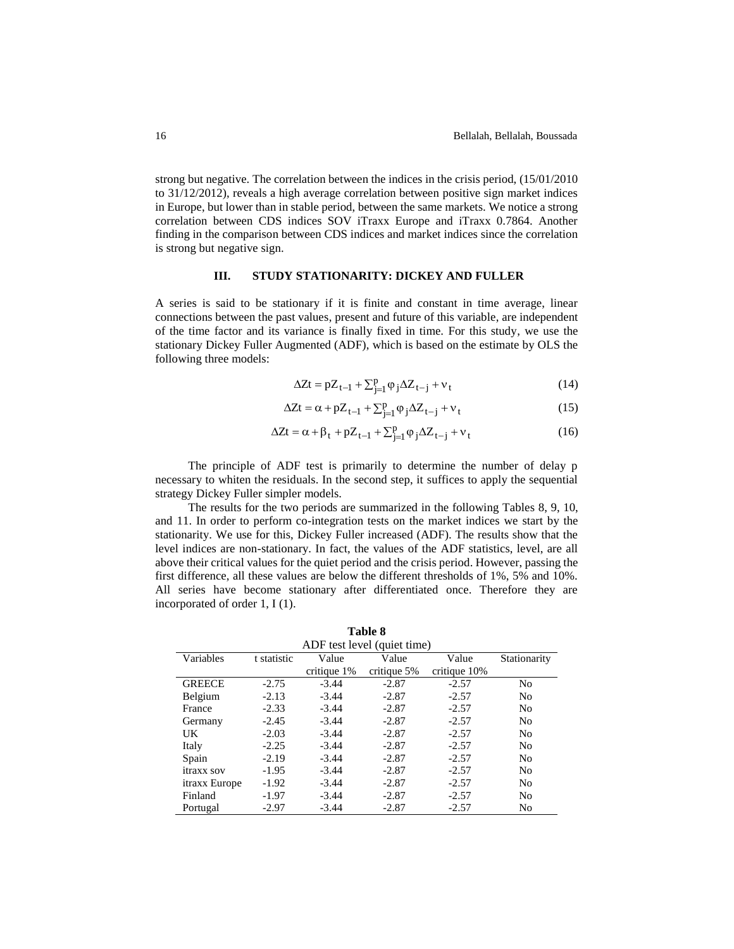strong but negative. The correlation between the indices in the crisis period, (15/01/2010 to 31/12/2012), reveals a high average correlation between positive sign market indices in Europe, but lower than in stable period, between the same markets. We notice a strong correlation between CDS indices SOV iTraxx Europe and iTraxx 0.7864. Another finding in the comparison between CDS indices and market indices since the correlation is strong but negative sign.

## **III. STUDY STATIONARITY: DICKEY AND FULLER**

A series is said to be stationary if it is finite and constant in time average, linear connections between the past values, present and future of this variable, are independent of the time factor and its variance is finally fixed in time. For this study, we use the stationary Dickey Fuller Augmented (ADF), which is based on the estimate by OLS the following three models:

$$
\Delta Zt = pZ_{t-1} + \sum_{j=1}^{p} \varphi_j \Delta Z_{t-j} + v_t
$$
\n(14)

$$
\Delta Zt = \alpha + pZ_{t-1} + \sum_{j=1}^{p} \varphi_j \Delta Z_{t-j} + v_t
$$
\n(15)

$$
\Delta Zt = \alpha + \beta_t + pZ_{t-1} + \sum_{j=1}^p \varphi_j \Delta Z_{t-j} + v_t
$$
 (16)

The principle of ADF test is primarily to determine the number of delay p necessary to whiten the residuals. In the second step, it suffices to apply the sequential strategy Dickey Fuller simpler models.

The results for the two periods are summarized in the following Tables 8, 9, 10, and 11. In order to perform co-integration tests on the market indices we start by the stationarity. We use for this, Dickey Fuller increased (ADF). The results show that the level indices are non-stationary. In fact, the values of the ADF statistics, level, are all above their critical values for the quiet period and the crisis period. However, passing the first difference, all these values are below the different thresholds of 1%, 5% and 10%. All series have become stationary after differentiated once. Therefore they are incorporated of order 1, I (1).

**Table 8** 

| 1 apie 8                    |             |             |             |              |                |  |  |  |  |  |
|-----------------------------|-------------|-------------|-------------|--------------|----------------|--|--|--|--|--|
| ADF test level (quiet time) |             |             |             |              |                |  |  |  |  |  |
| Variables                   | t statistic | Value       | Value       | Value        | Stationarity   |  |  |  |  |  |
|                             |             | critique 1% | critique 5% | critique 10% |                |  |  |  |  |  |
| <b>GREECE</b>               | $-2.75$     | $-3.44$     | $-2.87$     | $-2.57$      | N <sub>0</sub> |  |  |  |  |  |
| Belgium                     | $-2.13$     | $-3.44$     | $-2.87$     | $-2.57$      | N <sub>0</sub> |  |  |  |  |  |
| France                      | $-2.33$     | $-3.44$     | $-2.87$     | $-2.57$      | N <sub>0</sub> |  |  |  |  |  |
| Germany                     | $-2.45$     | $-3.44$     | $-2.87$     | $-2.57$      | N <sub>0</sub> |  |  |  |  |  |
| <b>UK</b>                   | $-2.03$     | $-3.44$     | $-2.87$     | $-2.57$      | N <sub>0</sub> |  |  |  |  |  |
| Italy                       | $-2.25$     | $-3.44$     | $-2.87$     | $-2.57$      | N <sub>0</sub> |  |  |  |  |  |
| Spain                       | $-2.19$     | $-3.44$     | $-2.87$     | $-2.57$      | N <sub>0</sub> |  |  |  |  |  |
| itraxx sov                  | $-1.95$     | $-3.44$     | $-2.87$     | $-2.57$      | N <sub>0</sub> |  |  |  |  |  |
| itraxx Europe               | $-1.92$     | $-3.44$     | $-2.87$     | $-2.57$      | N <sub>0</sub> |  |  |  |  |  |
| Finland                     | $-1.97$     | $-3.44$     | $-2.87$     | $-2.57$      | No             |  |  |  |  |  |
| Portugal                    | $-2.97$     | $-3.44$     | $-2.87$     | $-2.57$      | No             |  |  |  |  |  |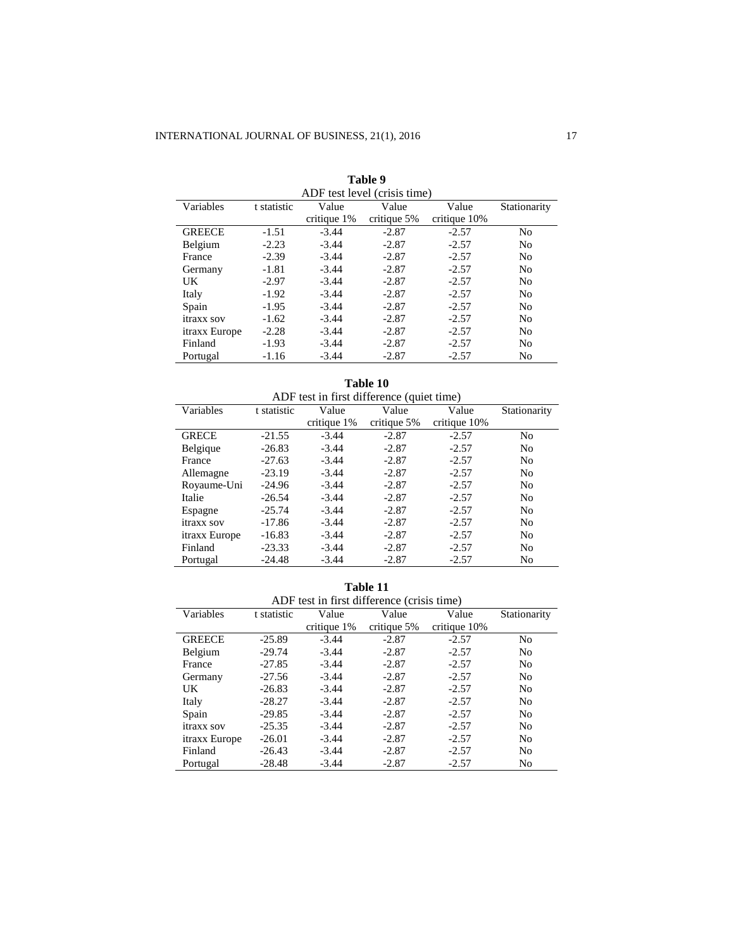| ADF test level (crisis time) |             |             |             |              |                |  |  |  |  |
|------------------------------|-------------|-------------|-------------|--------------|----------------|--|--|--|--|
| Variables                    | t statistic | Value       | Value       | Value        | Stationarity   |  |  |  |  |
|                              |             | critique 1% | critique 5% | critique 10% |                |  |  |  |  |
| <b>GREECE</b>                | $-1.51$     | $-3.44$     | $-2.87$     | $-2.57$      | No             |  |  |  |  |
| Belgium                      | $-2.23$     | $-3.44$     | $-2.87$     | $-2.57$      | No             |  |  |  |  |
| France                       | $-2.39$     | $-3.44$     | $-2.87$     | $-2.57$      | N <sub>0</sub> |  |  |  |  |
| Germany                      | $-1.81$     | $-3.44$     | $-2.87$     | $-2.57$      | N <sub>0</sub> |  |  |  |  |
| UK                           | $-2.97$     | $-3.44$     | $-2.87$     | $-2.57$      | N <sub>0</sub> |  |  |  |  |
| Italy                        | $-1.92$     | $-3.44$     | $-2.87$     | $-2.57$      | N <sub>0</sub> |  |  |  |  |
| Spain                        | $-1.95$     | $-3.44$     | $-2.87$     | $-2.57$      | No             |  |  |  |  |
| itraxx sov                   | $-1.62$     | $-3.44$     | $-2.87$     | $-2.57$      | N <sub>0</sub> |  |  |  |  |
| itraxx Europe                | $-2.28$     | $-3.44$     | $-2.87$     | $-2.57$      | N <sub>0</sub> |  |  |  |  |
| Finland                      | $-1.93$     | $-3.44$     | $-2.87$     | $-2.57$      | N <sub>0</sub> |  |  |  |  |
| Portugal                     | $-1.16$     | $-3.44$     | $-2.87$     | $-2.57$      | No             |  |  |  |  |

|  | Table 9 |  |  |  |
|--|---------|--|--|--|
|  |         |  |  |  |

#### **Table 10** ADF test in first difference (quiet time)<br>
atistic Value Value Value Variables t statistic  $\frac{\text{critique } 1\%}{-3.44}$ Value  $\frac{\text{critique } 5\%}{-2.87}$ Value  $\frac{\text{critique }10\%}{-2.57}$ Stationarity GRECE -21.55 -3.44 -2.87 -2.57 No<br>Belgique -26.83 -3.44 -2.87 -2.57 No Belgique -26.83 -3.44 -2.87 -2.57 No<br>France -27.63 -3.44 -2.87 -2.57 No France -27.63 -3.44 -2.87 -2.57 No Allemagne -23.19 -3.44 -2.87 -2.57 No<br>Royaume-Uni -24.96 -3.44 -2.87 -2.57 No Royaume-Uni -24.96 -3.44 -2.87 -2.57 No<br>Italie -26.54 -3.44 -2.87 -2.57 No Italie -26.54 -3.44 -2.87 -2.57 No Espagne -25.74 -3.44 -2.87 -2.57 No<br>
itraxx sov -17.86 -3.44 -2.87 -2.57 No itraxx sov itraxx Europe -16.83 -3.44 -2.87 -2.57 No<br>Finland -23.33 -3.44 -2.87 -2.57 No Finland -23.33 -3.44 -2.87 -2.57 No Portugal -24.48 -3.44 -2.87 -2.57 No

| ADF test in first difference (crisis time) |             |                |               |              |                |  |  |  |  |  |  |
|--------------------------------------------|-------------|----------------|---------------|--------------|----------------|--|--|--|--|--|--|
| Variables                                  | t statistic | Value          | Value         | Value        | Stationarity   |  |  |  |  |  |  |
|                                            |             | critique $1\%$ | critique $5%$ | critique 10% |                |  |  |  |  |  |  |
| <b>GREECE</b>                              | $-25.89$    | $-3.44$        | $-2.87$       | $-2.57$      | No             |  |  |  |  |  |  |
| Belgium                                    | $-29.74$    | $-3.44$        | $-2.87$       | $-2.57$      | N <sub>0</sub> |  |  |  |  |  |  |
| France                                     | $-27.85$    | $-3.44$        | $-2.87$       | $-2.57$      | N <sub>0</sub> |  |  |  |  |  |  |
| Germany                                    | $-27.56$    | $-3.44$        | $-2.87$       | $-2.57$      | N <sub>0</sub> |  |  |  |  |  |  |
| UK                                         | $-26.83$    | $-3.44$        | $-2.87$       | $-2.57$      | N <sub>0</sub> |  |  |  |  |  |  |
| Italy                                      | $-28.27$    | $-3.44$        | $-2.87$       | $-2.57$      | N <sub>0</sub> |  |  |  |  |  |  |
| Spain                                      | $-29.85$    | $-3.44$        | $-2.87$       | $-2.57$      | N <sub>0</sub> |  |  |  |  |  |  |
| itraxx sov                                 | $-25.35$    | $-3.44$        | $-2.87$       | $-2.57$      | N <sub>0</sub> |  |  |  |  |  |  |
| itraxx Europe                              | $-26.01$    | $-3.44$        | $-2.87$       | $-2.57$      | N <sub>0</sub> |  |  |  |  |  |  |
| Finland                                    | $-26.43$    | $-3.44$        | $-2.87$       | $-2.57$      | N <sub>0</sub> |  |  |  |  |  |  |
| Portugal                                   | $-28.48$    | $-3.44$        | $-2.87$       | $-2.57$      | N <sub>0</sub> |  |  |  |  |  |  |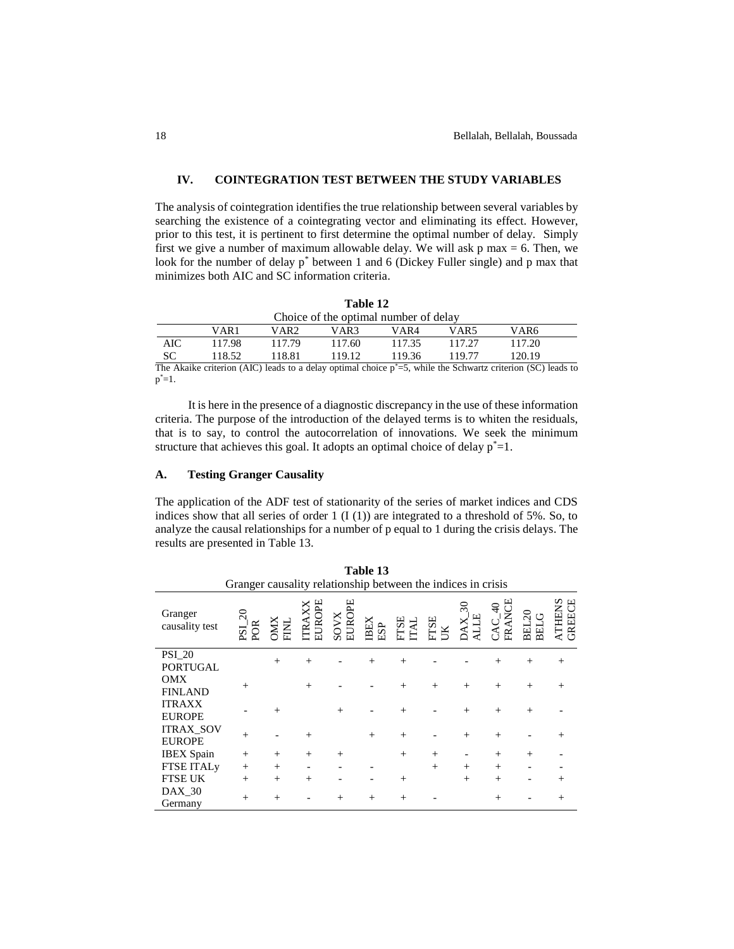## **IV. COINTEGRATION TEST BETWEEN THE STUDY VARIABLES**

The analysis of cointegration identifies the true relationship between several variables by searching the existence of a cointegrating vector and eliminating its effect. However, prior to this test, it is pertinent to first determine the optimal number of delay. Simply first we give a number of maximum allowable delay. We will ask  $p$  max = 6. Then, we look for the number of delay p\* between 1 and 6 (Dickey Fuller single) and p max that minimizes both AIC and SC information criteria.

|                                       | 100K 18 |        |        |       |        |        |  |  |  |  |  |
|---------------------------------------|---------|--------|--------|-------|--------|--------|--|--|--|--|--|
| Choice of the optimal number of delay |         |        |        |       |        |        |  |  |  |  |  |
|                                       | VAR 1   | VAR2   | VAR3   | VAR4  | VAR5   | VAR6   |  |  |  |  |  |
| AIC                                   | 117.98  | 117.79 | 117.60 | 11735 | 117.27 | 117.20 |  |  |  |  |  |
| SС                                    | 118.52. | 118.81 | 119.12 | 11936 | 119 77 | 120.19 |  |  |  |  |  |

**Table 12**

The Akaike criterion (AIC) leads to a delay optimal choice  $p^*=5$ , while the Schwartz criterion (SC) leads to  $p^* = 1$ .

It is here in the presence of a diagnostic discrepancy in the use of these information criteria. The purpose of the introduction of the delayed terms is to whiten the residuals, that is to say, to control the autocorrelation of innovations. We seek the minimum structure that achieves this goal. It adopts an optimal choice of delay  $p^*=1$ .

#### **A. Testing Granger Causality**

The application of the ADF test of stationarity of the series of market indices and CDS indices show that all series of order 1  $(I (1))$  are integrated to a threshold of 5%. So, to analyze the causal relationships for a number of p equal to 1 during the crisis delays. The results are presented in Table 13.

| Table 13                                                     |                                    |        |                     |                |                 |                     |            |         |             |                      |               |  |
|--------------------------------------------------------------|------------------------------------|--------|---------------------|----------------|-----------------|---------------------|------------|---------|-------------|----------------------|---------------|--|
| Granger causality relationship between the indices in crisis |                                    |        |                     |                |                 |                     |            |         |             |                      |               |  |
| Granger<br>causality test                                    | $\Omega$<br>POR<br>18 <sup>2</sup> |        | <b>JROPE</b><br>TRA | SOVX<br>EUROPE | <b>BEX</b><br>₽ | <b>HISE</b><br>ITAL | <b>TST</b> | న్<br>H | FRANCE<br>੩ | BEL20<br><b>BELG</b> | THENS<br>GREE |  |
| <b>PSI_20</b>                                                |                                    | $^{+}$ | $^{+}$              |                | $^{+}$          | $^{+}$              |            |         | $^{+}$      | $+$                  | $^{+}$        |  |
| <b>PORTUGAL</b>                                              |                                    |        |                     |                |                 |                     |            |         |             |                      |               |  |
| OMX                                                          | $^{+}$                             |        | $+$                 |                |                 | $^{+}$              | $^{+}$     | $^{+}$  | $^{+}$      | $^{+}$               | $+$           |  |
| <b>FINLAND</b>                                               |                                    |        |                     |                |                 |                     |            |         |             |                      |               |  |
| <b>ITRAXX</b>                                                |                                    | $^{+}$ |                     | $+$            |                 | $^{+}$              |            | $^{+}$  | $^{+}$      | $+$                  |               |  |
| <b>EUROPE</b>                                                |                                    |        |                     |                |                 |                     |            |         |             |                      |               |  |
| <b>ITRAX SOV</b>                                             | $^{+}$                             |        | $^{+}$              |                | $^{+}$          | $^{+}$              |            | $^{+}$  | $^{+}$      |                      | $^{+}$        |  |
| <b>EUROPE</b>                                                |                                    |        |                     |                |                 |                     |            |         |             |                      |               |  |
| <b>IBEX</b> Spain                                            | $^{+}$                             | $^{+}$ | $^{+}$              | $+$            |                 | $^{+}$              | $^{+}$     |         | $^{+}$      | $^{+}$               |               |  |
| <b>FTSE ITALy</b>                                            | $^{+}$                             | $^{+}$ |                     |                |                 |                     | $^{+}$     | $^{+}$  | $^{+}$      |                      |               |  |
| <b>FTSE UK</b>                                               | $^{+}$                             | $^{+}$ | $^{+}$              |                |                 | $^{+}$              |            | $^{+}$  | $^{+}$      |                      | $^{+}$        |  |
| $DAX_30$<br>Germany                                          | $^{+}$                             | $^{+}$ |                     | $^{+}$         | $^{+}$          | $^{+}$              |            |         | $^{+}$      |                      | $^{+}$        |  |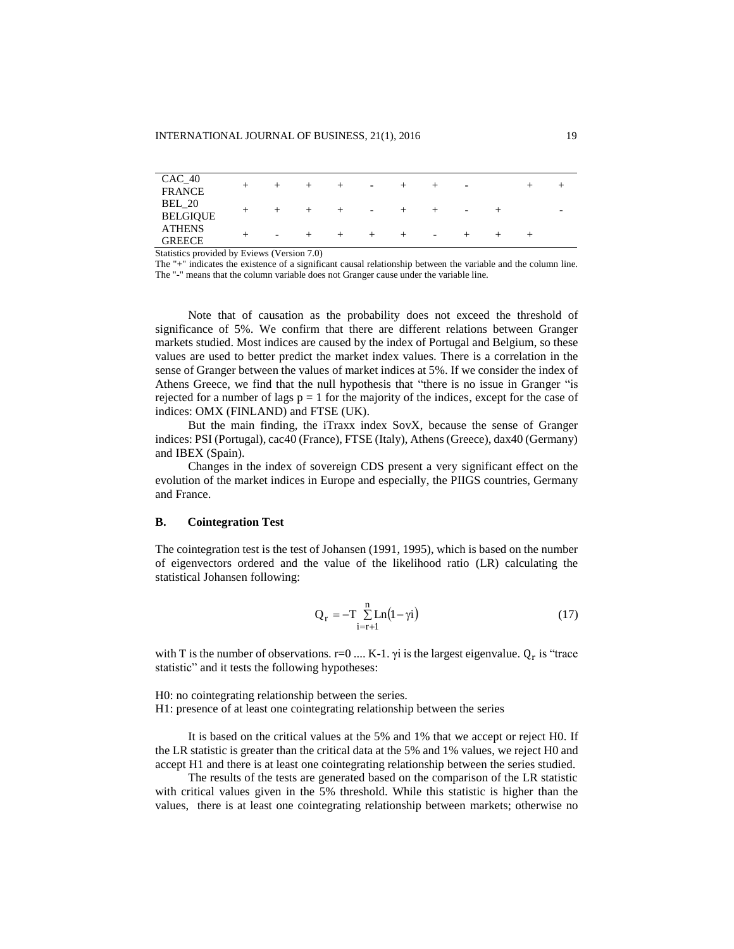| $CAC_40$<br><b>FRANCE</b>        |                          |  | $\overline{\phantom{a}}$ |                          | - |  |   |
|----------------------------------|--------------------------|--|--------------------------|--------------------------|---|--|---|
| <b>BEL</b> 20<br><b>BELGIQUE</b> |                          |  | $\overline{\phantom{0}}$ |                          | - |  | - |
| <b>ATHENS</b><br><b>GREECE</b>   | $\overline{\phantom{0}}$ |  |                          | $\overline{\phantom{a}}$ |   |  |   |

Statistics provided by Eviews (Version 7.0)

The "+" indicates the existence of a significant causal relationship between the variable and the column line. The "-" means that the column variable does not Granger cause under the variable line.

Note that of causation as the probability does not exceed the threshold of significance of 5%. We confirm that there are different relations between Granger markets studied. Most indices are caused by the index of Portugal and Belgium, so these values are used to better predict the market index values. There is a correlation in the sense of Granger between the values of market indices at 5%. If we consider the index of Athens Greece, we find that the null hypothesis that "there is no issue in Granger "is rejected for a number of lags  $p = 1$  for the majority of the indices, except for the case of indices: OMX (FINLAND) and FTSE (UK).

But the main finding, the iTraxx index SovX, because the sense of Granger indices: PSI (Portugal), cac40 (France), FTSE (Italy), Athens (Greece), dax40 (Germany) and IBEX (Spain).

Changes in the index of sovereign CDS present a very significant effect on the evolution of the market indices in Europe and especially, the PIIGS countries, Germany and France.

### **B. Cointegration Test**

The cointegration test is the test of Johansen (1991, 1995), which is based on the number of eigenvectors ordered and the value of the likelihood ratio (LR) calculating the statistical Johansen following:

$$
Q_r = -T \sum_{i=r+1}^{n} Ln(1-\gamma i)
$$
 (17)

with T is the number of observations.  $r=0$  .... K-1.  $\gamma i$  is the largest eigenvalue.  $Q_r$  is "trace statistic" and it tests the following hypotheses:

H0: no cointegrating relationship between the series. H1: presence of at least one cointegrating relationship between the series

It is based on the critical values at the 5% and 1% that we accept or reject H0. If the LR statistic is greater than the critical data at the 5% and 1% values, we reject H0 and accept H1 and there is at least one cointegrating relationship between the series studied.

The results of the tests are generated based on the comparison of the LR statistic with critical values given in the 5% threshold. While this statistic is higher than the values, there is at least one cointegrating relationship between markets; otherwise no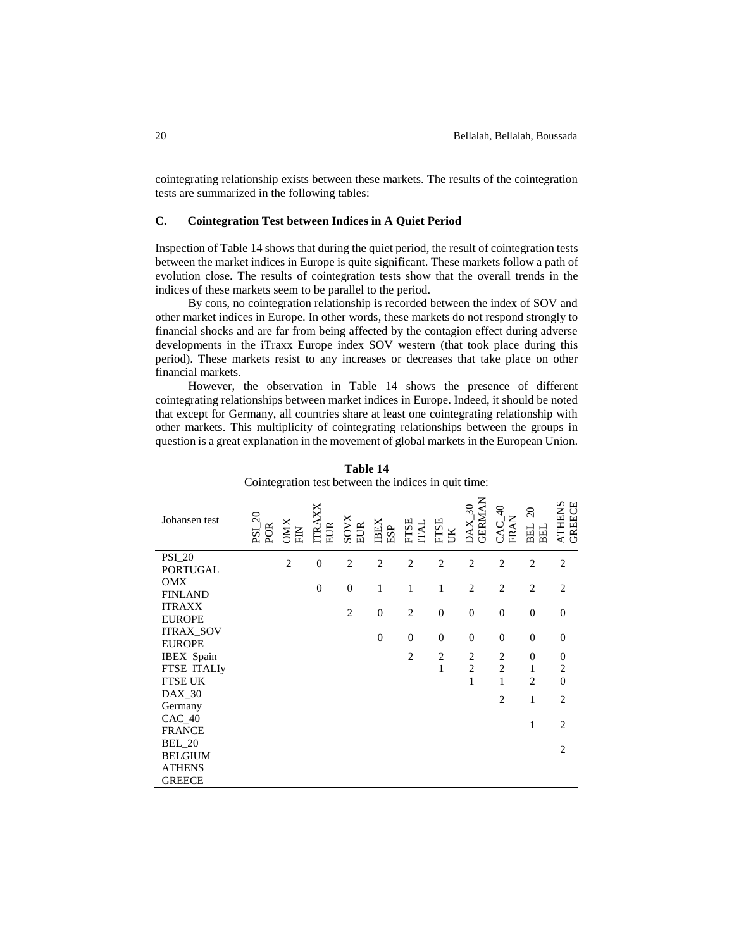cointegrating relationship exists between these markets. The results of the cointegration tests are summarized in the following tables:

## **C. Cointegration Test between Indices in A Quiet Period**

Inspection of Table 14 shows that during the quiet period, the result of cointegration tests between the market indices in Europe is quite significant. These markets follow a path of evolution close. The results of cointegration tests show that the overall trends in the indices of these markets seem to be parallel to the period.

By cons, no cointegration relationship is recorded between the index of SOV and other market indices in Europe. In other words, these markets do not respond strongly to financial shocks and are far from being affected by the contagion effect during adverse developments in the iTraxx Europe index SOV western (that took place during this period). These markets resist to any increases or decreases that take place on other financial markets.

However, the observation in Table 14 shows the presence of different cointegrating relationships between market indices in Europe. Indeed, it should be noted that except for Germany, all countries share at least one cointegrating relationship with other markets. This multiplicity of cointegrating relationships between the groups in question is a great explanation in the movement of global markets in the European Union.

| Cointegration test between the indices in quit time: |                              |                |                  |                    |                   |                     |                             |                                              |                         |                         |                  |
|------------------------------------------------------|------------------------------|----------------|------------------|--------------------|-------------------|---------------------|-----------------------------|----------------------------------------------|-------------------------|-------------------------|------------------|
| Johansen test                                        | $PSI_2$ <sub>20</sub><br>POR | XIXC<br>E      | TRA<br>EUR       | <b>SOVX</b><br>EUR | <b>BEX</b><br>ESP | <b>FTSE</b><br>ITAL | <b>FTSE</b><br>$\mathbb{R}$ | <b>GERMAN</b><br>$\mathcal{E}$<br><b>XYC</b> | $\Theta$<br>FRAN<br>CAC | $\Omega$<br>BEL.<br>BEL | ATHENS<br>GREECE |
| <b>PSI_20</b>                                        |                              | $\overline{2}$ | $\boldsymbol{0}$ | $\overline{2}$     | $\overline{c}$    | $\overline{2}$      | $\overline{2}$              | $\overline{c}$                               | $\overline{2}$          | $\overline{2}$          | $\overline{c}$   |
| <b>PORTUGAL</b>                                      |                              |                |                  |                    |                   |                     |                             |                                              |                         |                         |                  |
| OMX                                                  |                              |                | $\boldsymbol{0}$ | $\theta$           | 1                 | 1                   | $\mathbf{1}$                | $\overline{2}$                               | $\mathbf{2}$            | $\overline{c}$          | $\overline{c}$   |
| <b>FINLAND</b>                                       |                              |                |                  |                    |                   |                     |                             |                                              |                         |                         |                  |
| <b>ITRAXX</b>                                        |                              |                |                  | $\overline{2}$     | $\mathbf{0}$      | $\overline{2}$      | $\mathbf{0}$                | $\mathbf{0}$                                 | $\overline{0}$          | $\theta$                | $\overline{0}$   |
| <b>EUROPE</b>                                        |                              |                |                  |                    |                   |                     |                             |                                              |                         |                         |                  |
| <b>ITRAX_SOV</b>                                     |                              |                |                  |                    | $\mathbf{0}$      | $\overline{0}$      | $\mathbf{0}$                | $\mathbf{0}$                                 | $\overline{0}$          | $\mathbf{0}$            | $\overline{0}$   |
| <b>EUROPE</b>                                        |                              |                |                  |                    |                   |                     |                             |                                              |                         |                         |                  |
| IBEX Spain                                           |                              |                |                  |                    |                   | $\overline{2}$      | $\overline{c}$              | $\overline{c}$                               | $\sqrt{2}$              | $\boldsymbol{0}$        | $\boldsymbol{0}$ |
| <b>FTSE ITALI</b> y                                  |                              |                |                  |                    |                   |                     | $\mathbf{1}$                | $\overline{c}$                               | $\overline{c}$          | 1                       | $\overline{c}$   |
| <b>FTSE UK</b>                                       |                              |                |                  |                    |                   |                     |                             | $\mathbf{1}$                                 | $\mathbf{1}$            | $\overline{2}$          | $\overline{0}$   |
| $DAX_30$                                             |                              |                |                  |                    |                   |                     |                             |                                              | $\overline{2}$          | $\mathbf{1}$            | $\overline{c}$   |
| Germany                                              |                              |                |                  |                    |                   |                     |                             |                                              |                         |                         |                  |
| $CAC_40$                                             |                              |                |                  |                    |                   |                     |                             |                                              |                         | 1                       | $\overline{2}$   |
| <b>FRANCE</b>                                        |                              |                |                  |                    |                   |                     |                             |                                              |                         |                         |                  |
| <b>BEL_20</b>                                        |                              |                |                  |                    |                   |                     |                             |                                              |                         |                         | $\overline{2}$   |
| <b>BELGIUM</b>                                       |                              |                |                  |                    |                   |                     |                             |                                              |                         |                         |                  |
| <b>ATHENS</b>                                        |                              |                |                  |                    |                   |                     |                             |                                              |                         |                         |                  |
| <b>GREECE</b>                                        |                              |                |                  |                    |                   |                     |                             |                                              |                         |                         |                  |

**Table 14**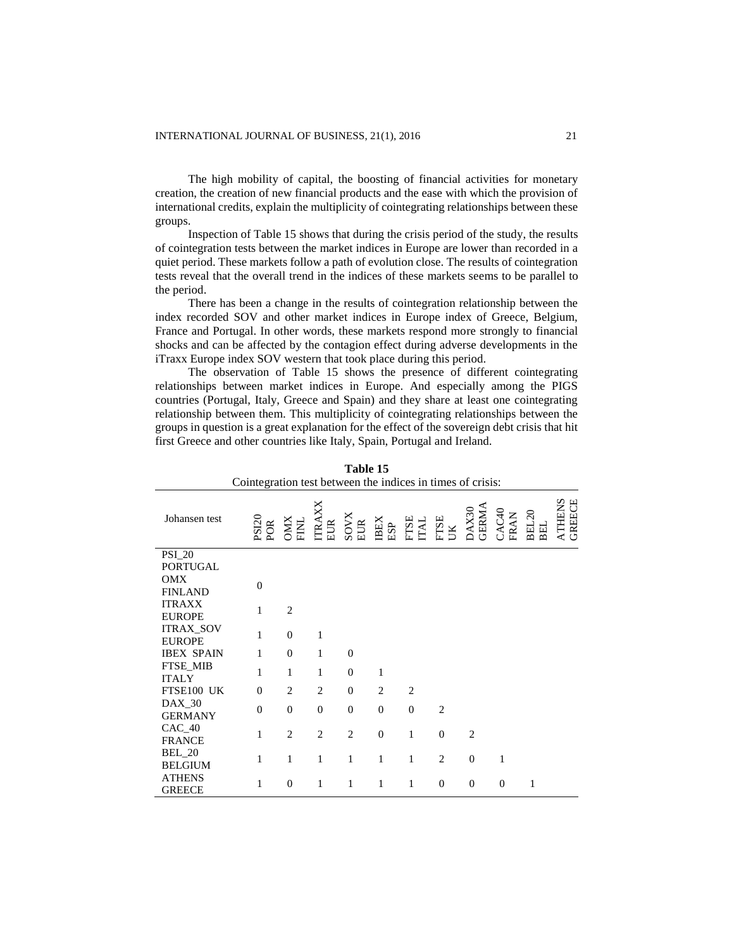The high mobility of capital, the boosting of financial activities for monetary creation, the creation of new financial products and the ease with which the provision of international credits, explain the multiplicity of cointegrating relationships between these groups.

Inspection of Table 15 shows that during the crisis period of the study, the results of cointegration tests between the market indices in Europe are lower than recorded in a quiet period. These markets follow a path of evolution close. The results of cointegration tests reveal that the overall trend in the indices of these markets seems to be parallel to the period.

There has been a change in the results of cointegration relationship between the index recorded SOV and other market indices in Europe index of Greece, Belgium, France and Portugal. In other words, these markets respond more strongly to financial shocks and can be affected by the contagion effect during adverse developments in the iTraxx Europe index SOV western that took place during this period.

The observation of Table 15 shows the presence of different cointegrating relationships between market indices in Europe. And especially among the PIGS countries (Portugal, Italy, Greece and Spain) and they share at least one cointegrating relationship between them. This multiplicity of cointegrating relationships between the groups in question is a great explanation for the effect of the sovereign debt crisis that hit first Greece and other countries like Italy, Spain, Portugal and Ireland.

| 1 avit 15<br>Cointegration test between the indices in times of crisis: |                     |                |                |                |                    |                     |                |                |                |              |                  |
|-------------------------------------------------------------------------|---------------------|----------------|----------------|----------------|--------------------|---------------------|----------------|----------------|----------------|--------------|------------------|
| Johansen test                                                           | <b>PSI20</b><br>POR | OMX<br>FINL    | TRAXX<br>EUR   | SOVX<br>EUR    | <b>IBEX</b><br>ESP | <b>HISE</b><br>ITAL | FTSE<br>UK     | DAX30<br>GERMA | CAC40<br>FRAN  | BEL20<br>BEL | ATHENS<br>GREECE |
| <b>PSI_20</b>                                                           |                     |                |                |                |                    |                     |                |                |                |              |                  |
| <b>PORTUGAL</b>                                                         |                     |                |                |                |                    |                     |                |                |                |              |                  |
| <b>OMX</b>                                                              | $\overline{0}$      |                |                |                |                    |                     |                |                |                |              |                  |
| <b>FINLAND</b>                                                          |                     |                |                |                |                    |                     |                |                |                |              |                  |
| <b>ITRAXX</b>                                                           | 1                   | $\overline{2}$ |                |                |                    |                     |                |                |                |              |                  |
| <b>EUROPE</b>                                                           |                     |                |                |                |                    |                     |                |                |                |              |                  |
| <b>ITRAX_SOV</b><br><b>EUROPE</b>                                       | $\mathbf{1}$        | $\overline{0}$ | 1              |                |                    |                     |                |                |                |              |                  |
| <b>IBEX SPAIN</b>                                                       | 1                   | $\theta$       | 1              | $\Omega$       |                    |                     |                |                |                |              |                  |
| FTSE MIB                                                                |                     |                |                |                |                    |                     |                |                |                |              |                  |
| <b>ITALY</b>                                                            | 1                   | 1              | 1              | $\Omega$       | $\mathbf{1}$       |                     |                |                |                |              |                  |
| FTSE100 UK                                                              | $\mathbf{0}$        | $\overline{2}$ | 2              | $\overline{0}$ | $\overline{c}$     | $\overline{2}$      |                |                |                |              |                  |
| $DAX_30$                                                                | $\mathbf{0}$        | $\theta$       | $\Omega$       | $\Omega$       | $\theta$           | $\overline{0}$      | $\overline{2}$ |                |                |              |                  |
| <b>GERMANY</b>                                                          |                     |                |                |                |                    |                     |                |                |                |              |                  |
| $CAC_40$                                                                | 1                   | $\overline{2}$ | $\overline{2}$ | $\overline{c}$ | $\overline{0}$     | $\mathbf{1}$        | $\theta$       | $\overline{c}$ |                |              |                  |
| <b>FRANCE</b>                                                           |                     |                |                |                |                    |                     |                |                |                |              |                  |
| <b>BEL_20</b>                                                           | 1                   | $\mathbf{1}$   | $\mathbf{1}$   | 1              | $\mathbf{1}$       | $\mathbf{1}$        | $\overline{2}$ | $\mathbf{0}$   | $\mathbf{1}$   |              |                  |
| <b>BELGIUM</b>                                                          |                     |                |                |                |                    |                     |                |                |                |              |                  |
| <b>ATHENS</b>                                                           | 1                   | $\overline{0}$ | 1              | 1              | 1                  | 1                   | $\theta$       | $\mathbf{0}$   | $\overline{0}$ | 1            |                  |
| <b>GREECE</b>                                                           |                     |                |                |                |                    |                     |                |                |                |              |                  |

**Table 15**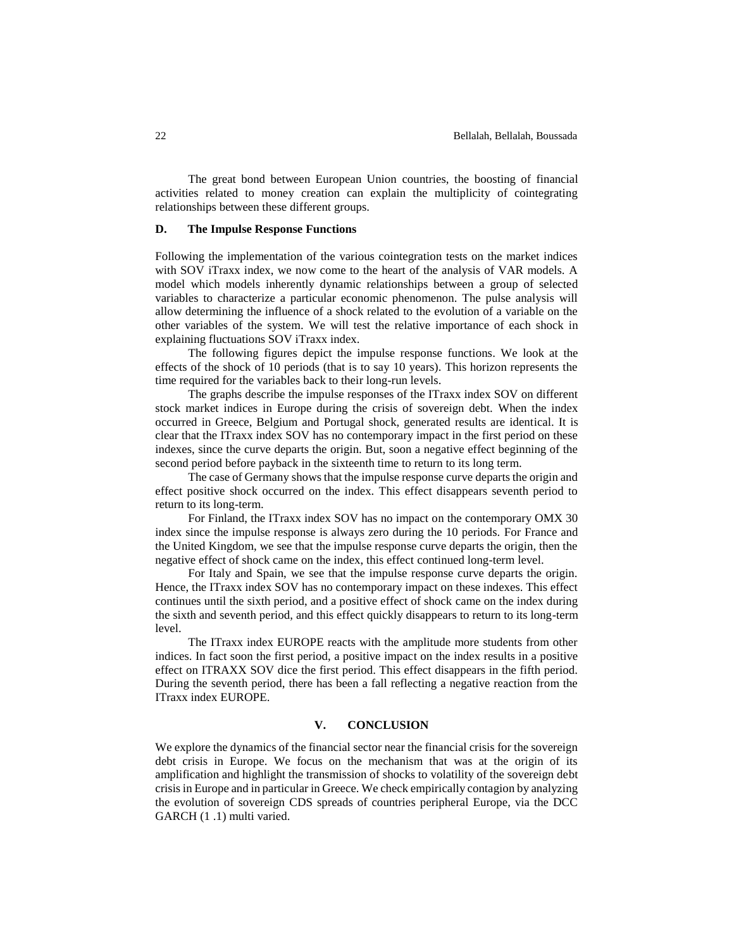The great bond between European Union countries, the boosting of financial activities related to money creation can explain the multiplicity of cointegrating relationships between these different groups.

## **D. The Impulse Response Functions**

Following the implementation of the various cointegration tests on the market indices with SOV iTraxx index, we now come to the heart of the analysis of VAR models. A model which models inherently dynamic relationships between a group of selected variables to characterize a particular economic phenomenon. The pulse analysis will allow determining the influence of a shock related to the evolution of a variable on the other variables of the system. We will test the relative importance of each shock in explaining fluctuations SOV iTraxx index.

The following figures depict the impulse response functions. We look at the effects of the shock of 10 periods (that is to say 10 years). This horizon represents the time required for the variables back to their long-run levels.

The graphs describe the impulse responses of the ITraxx index SOV on different stock market indices in Europe during the crisis of sovereign debt. When the index occurred in Greece, Belgium and Portugal shock, generated results are identical. It is clear that the ITraxx index SOV has no contemporary impact in the first period on these indexes, since the curve departs the origin. But, soon a negative effect beginning of the second period before payback in the sixteenth time to return to its long term.

The case of Germany shows that the impulse response curve departs the origin and effect positive shock occurred on the index. This effect disappears seventh period to return to its long-term.

For Finland, the ITraxx index SOV has no impact on the contemporary OMX 30 index since the impulse response is always zero during the 10 periods. For France and the United Kingdom, we see that the impulse response curve departs the origin, then the negative effect of shock came on the index, this effect continued long-term level.

For Italy and Spain, we see that the impulse response curve departs the origin. Hence, the ITraxx index SOV has no contemporary impact on these indexes. This effect continues until the sixth period, and a positive effect of shock came on the index during the sixth and seventh period, and this effect quickly disappears to return to its long-term level.

The ITraxx index EUROPE reacts with the amplitude more students from other indices. In fact soon the first period, a positive impact on the index results in a positive effect on ITRAXX SOV dice the first period. This effect disappears in the fifth period. During the seventh period, there has been a fall reflecting a negative reaction from the ITraxx index EUROPE.

## **V. CONCLUSION**

We explore the dynamics of the financial sector near the financial crisis for the sovereign debt crisis in Europe. We focus on the mechanism that was at the origin of its amplification and highlight the transmission of shocks to volatility of the sovereign debt crisis in Europe and in particular in Greece. We check empirically contagion by analyzing the evolution of sovereign CDS spreads of countries peripheral Europe, via the DCC GARCH (1 .1) multi varied.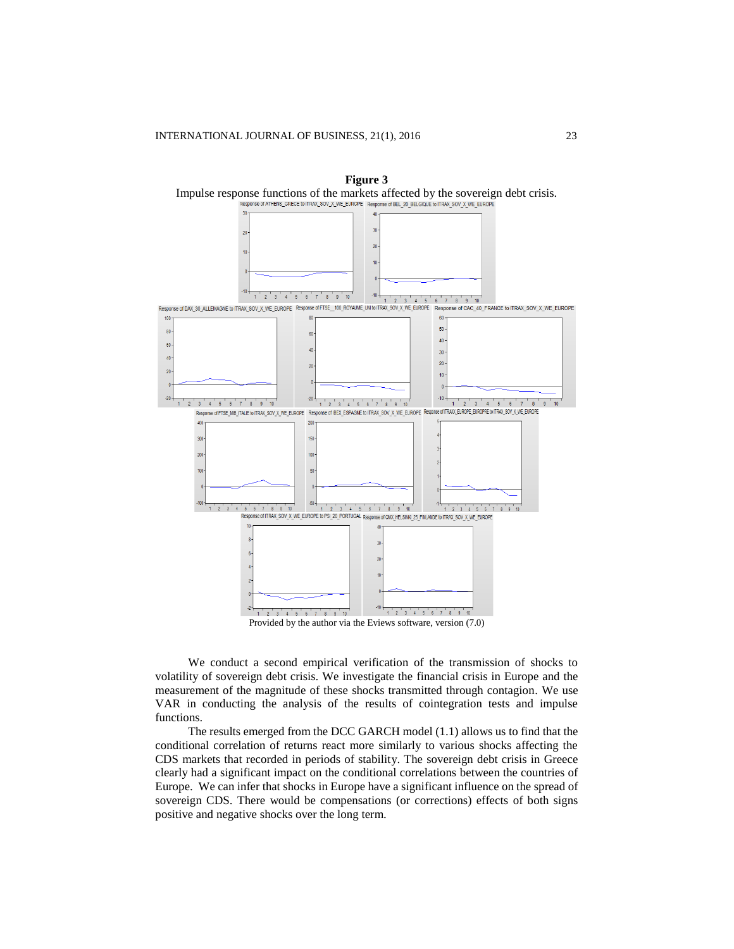

Provided by the author via the Eviews software, version (7.0)

We conduct a second empirical verification of the transmission of shocks to volatility of sovereign debt crisis. We investigate the financial crisis in Europe and the measurement of the magnitude of these shocks transmitted through contagion. We use VAR in conducting the analysis of the results of cointegration tests and impulse functions.

The results emerged from the DCC GARCH model (1.1) allows us to find that the conditional correlation of returns react more similarly to various shocks affecting the CDS markets that recorded in periods of stability. The sovereign debt crisis in Greece clearly had a significant impact on the conditional correlations between the countries of Europe. We can infer that shocks in Europe have a significant influence on the spread of sovereign CDS. There would be compensations (or corrections) effects of both signs positive and negative shocks over the long term.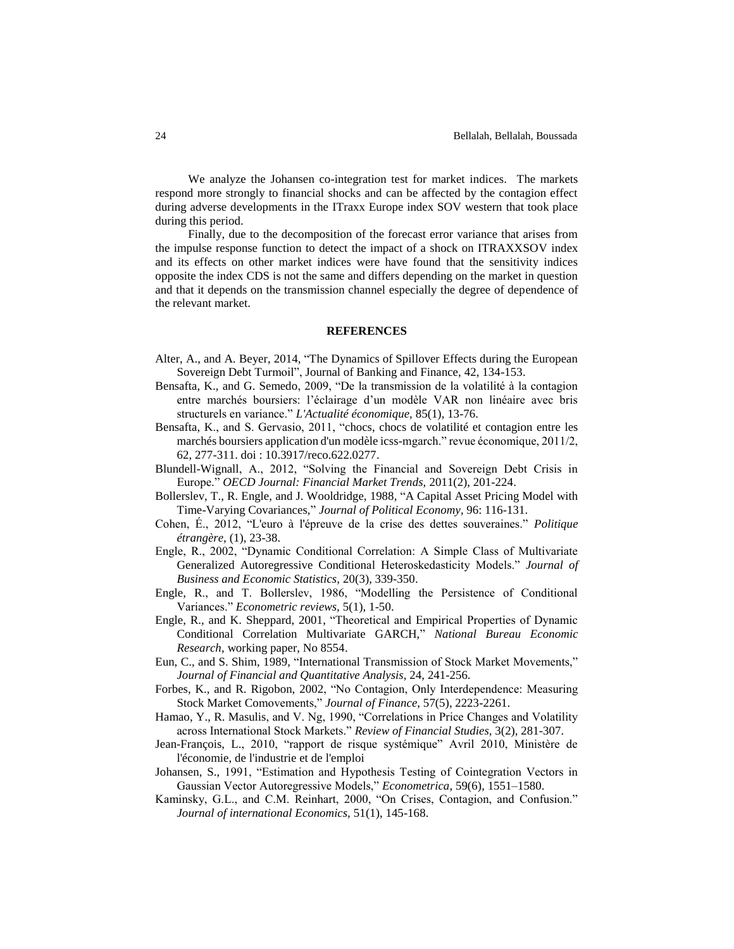We analyze the Johansen co-integration test for market indices. The markets respond more strongly to financial shocks and can be affected by the contagion effect during adverse developments in the ITraxx Europe index SOV western that took place during this period.

Finally, due to the decomposition of the forecast error variance that arises from the impulse response function to detect the impact of a shock on ITRAXXSOV index and its effects on other market indices were have found that the sensitivity indices opposite the index CDS is not the same and differs depending on the market in question and that it depends on the transmission channel especially the degree of dependence of the relevant market.

#### **REFERENCES**

- Alter, A., and A. Beyer, 2014, "The Dynamics of Spillover Effects during the European Sovereign Debt Turmoil", Journal of Banking and Finance, 42, 134-153.
- Bensafta, K., and G. Semedo, 2009, "De la transmission de la volatilité à la contagion entre marchés boursiers: l'éclairage d'un modèle VAR non linéaire avec bris structurels en variance." *L'Actualité économique,* 85(1), 13-76.
- Bensafta, K., and S. Gervasio, 2011, "chocs, chocs de volatilité et contagion entre les marchés boursiers application d'un modèle icss-mgarch." revue économique, 2011/2, 62, 277-311. doi : 10.3917/reco.622.0277.
- Blundell-Wignall, A., 2012, "Solving the Financial and Sovereign Debt Crisis in Europe." *OECD Journal: Financial Market Trends,* 2011(2), 201-224.
- Bollerslev, T., R. Engle, and J. Wooldridge, 1988, "A Capital Asset Pricing Model with Time-Varying Covariances," *Journal of Political Economy*, 96: 116-131.
- Cohen, É., 2012, "L'euro à l'épreuve de la crise des dettes souveraines." *Politique étrangère,* (1), 23-38.
- Engle, R., 2002, "Dynamic Conditional Correlation: A Simple Class of Multivariate Generalized Autoregressive Conditional Heteroskedasticity Models." *Journal of Business and Economic Statistics,* 20(3), 339-350.
- Engle, R., and T. Bollerslev, 1986, "Modelling the Persistence of Conditional Variances." *Econometric reviews,* 5(1), 1-50.
- Engle, R., and K. Sheppard, 2001, "Theoretical and Empirical Properties of Dynamic Conditional Correlation Multivariate GARCH," *National Bureau Economic Research*, working paper, No 8554.
- Eun, C., and S. Shim, 1989, "International Transmission of Stock Market Movements," *Journal of Financial and Quantitative Analysis*, 24, 241-256.
- Forbes, K., and R. Rigobon, 2002, "No Contagion, Only Interdependence: Measuring Stock Market Comovements," *Journal of Finance*, 57(5), 2223-2261.
- Hamao, Y., R. Masulis, and V. Ng, 1990, "Correlations in Price Changes and Volatility across International Stock Markets." *Review of Financial Studies,* 3(2), 281-307.
- Jean-François, L., 2010, "rapport de risque systémique" Avril 2010, Ministère de l'économie, de l'industrie et de l'emploi
- Johansen, S., 1991, "Estimation and Hypothesis Testing of Cointegration Vectors in Gaussian Vector Autoregressive Models," *Econometrica*, 59(6), 1551–1580.
- Kaminsky, G.L., and C.M. Reinhart, 2000, "On Crises, Contagion, and Confusion." *Journal of international Economics,* 51(1), 145-168.